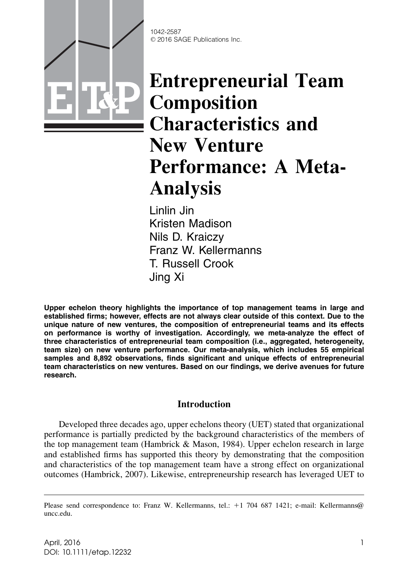

1042-2587 © 2016 SAGE Publications Inc.

# Entrepreneurial Team Composition Characteristics and New Venture Performance: A Meta-Analysis

Linlin Jin Kristen Madison Nils D. Kraiczy Franz W. Kellermanns T. Russell Crook Jing Xi

Upper echelon theory highlights the importance of top management teams in large and established firms; however, effects are not always clear outside of this context. Due to the unique nature of new ventures, the composition of entrepreneurial teams and its effects on performance is worthy of investigation. Accordingly, we meta-analyze the effect of three characteristics of entrepreneurial team composition (i.e., aggregated, heterogeneity, team size) on new venture performance. Our meta-analysis, which includes 55 empirical samples and 8,892 observations, finds significant and unique effects of entrepreneurial team characteristics on new ventures. Based on our findings, we derive avenues for future research.

# Introduction

Developed three decades ago, upper echelons theory (UET) stated that organizational performance is partially predicted by the background characteristics of the members of the top management team (Hambrick & Mason, 1984). Upper echelon research in large and established firms has supported this theory by demonstrating that the composition and characteristics of the top management team have a strong effect on organizational outcomes (Hambrick, 2007). Likewise, entrepreneurship research has leveraged UET to

Please send correspondence to: Franz W. Kellermanns, tel.:  $+1$  704 687 1421; e-mail: Kellermanns@ uncc.edu.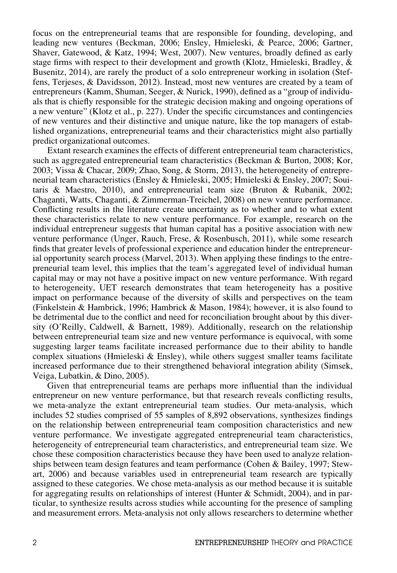focus on the entrepreneurial teams that are responsible for founding, developing, and leading new ventures (Beckman, 2006; Ensley, Hmieleski, & Pearce, 2006; Gartner, Shaver, Gatewood, & Katz, 1994; West, 2007). New ventures, broadly defined as early stage firms with respect to their development and growth (Klotz, Hmieleski, Bradley, & Busenitz, 2014), are rarely the product of a solo entrepreneur working in isolation (Steffens, Terjeses, & Davidsson, 2012). Instead, most new ventures are created by a team of entrepreneurs (Kamm, Shuman, Seeger, & Nurick, 1990), defined as a "group of individuals that is chiefly responsible for the strategic decision making and ongoing operations of a new venture" (Klotz et al., p. 227). Under the specific circumstances and contingencies of new ventures and their distinctive and unique nature, like the top managers of established organizations, entrepreneurial teams and their characteristics might also partially predict organizational outcomes.

Extant research examines the effects of different entrepreneurial team characteristics, such as aggregated entrepreneurial team characteristics (Beckman & Burton, 2008; Kor, 2003; Vissa & Chacar, 2009; Zhao, Song, & Storm, 2013), the heterogeneity of entrepreneurial team characteristics (Ensley & Hmieleski, 2005; Hmieleski & Ensley, 2007; Souitaris & Maestro, 2010), and entrepreneurial team size (Bruton & Rubanik, 2002; Chaganti, Watts, Chaganti, & Zimmerman-Treichel, 2008) on new venture performance. Conflicting results in the literature create uncertainty as to whether and to what extent these characteristics relate to new venture performance. For example, research on the individual entrepreneur suggests that human capital has a positive association with new venture performance (Unger, Rauch, Frese, & Rosenbusch, 2011), while some research finds that greater levels of professional experience and education hinder the entrepreneurial opportunity search process (Marvel, 2013). When applying these findings to the entrepreneurial team level, this implies that the team's aggregated level of individual human capital may or may not have a positive impact on new venture performance. With regard to heterogeneity, UET research demonstrates that team heterogeneity has a positive impact on performance because of the diversity of skills and perspectives on the team (Finkelstein & Hambrick, 1996; Hambrick & Mason, 1984); however, it is also found to be detrimental due to the conflict and need for reconciliation brought about by this diversity (O'Reilly, Caldwell, & Barnett, 1989). Additionally, research on the relationship between entrepreneurial team size and new venture performance is equivocal, with some suggesting larger teams facilitate increased performance due to their ability to handle complex situations (Hmieleski  $\&$  Ensley), while others suggest smaller teams facilitate increased performance due to their strengthened behavioral integration ability (Simsek, Veiga, Lubatkin, & Dino, 2005).

Given that entrepreneurial teams are perhaps more influential than the individual entrepreneur on new venture performance, but that research reveals conflicting results, we meta-analyze the extant entrepreneurial team studies. Our meta-analysis, which includes 52 studies comprised of 55 samples of 8,892 observations, synthesizes findings on the relationship between entrepreneurial team composition characteristics and new venture performance. We investigate aggregated entrepreneurial team characteristics, heterogeneity of entrepreneurial team characteristics, and entrepreneurial team size. We chose these composition characteristics because they have been used to analyze relationships between team design features and team performance (Cohen & Bailey, 1997; Stewart, 2006) and because variables used in entrepreneurial team research are typically assigned to these categories. We chose meta-analysis as our method because it is suitable for aggregating results on relationships of interest (Hunter  $\&$  Schmidt, 2004), and in particular, to synthesize results across studies while accounting for the presence of sampling and measurement errors. Meta-analysis not only allows researchers to determine whether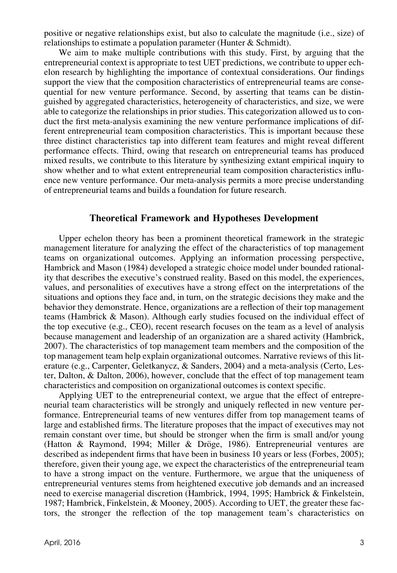positive or negative relationships exist, but also to calculate the magnitude (i.e., size) of relationships to estimate a population parameter (Hunter & Schmidt).

We aim to make multiple contributions with this study. First, by arguing that the entrepreneurial context is appropriate to test UET predictions, we contribute to upper echelon research by highlighting the importance of contextual considerations. Our findings support the view that the composition characteristics of entrepreneurial teams are consequential for new venture performance. Second, by asserting that teams can be distinguished by aggregated characteristics, heterogeneity of characteristics, and size, we were able to categorize the relationships in prior studies. This categorization allowed us to conduct the first meta-analysis examining the new venture performance implications of different entrepreneurial team composition characteristics. This is important because these three distinct characteristics tap into different team features and might reveal different performance effects. Third, owing that research on entrepreneurial teams has produced mixed results, we contribute to this literature by synthesizing extant empirical inquiry to show whether and to what extent entrepreneurial team composition characteristics influence new venture performance. Our meta-analysis permits a more precise understanding of entrepreneurial teams and builds a foundation for future research.

#### Theoretical Framework and Hypotheses Development

Upper echelon theory has been a prominent theoretical framework in the strategic management literature for analyzing the effect of the characteristics of top management teams on organizational outcomes. Applying an information processing perspective, Hambrick and Mason (1984) developed a strategic choice model under bounded rationality that describes the executive's construed reality. Based on this model, the experiences, values, and personalities of executives have a strong effect on the interpretations of the situations and options they face and, in turn, on the strategic decisions they make and the behavior they demonstrate. Hence, organizations are a reflection of their top management teams (Hambrick & Mason). Although early studies focused on the individual effect of the top executive (e.g., CEO), recent research focuses on the team as a level of analysis because management and leadership of an organization are a shared activity (Hambrick, 2007). The characteristics of top management team members and the composition of the top management team help explain organizational outcomes. Narrative reviews of this literature (e.g., Carpenter, Geletkanycz, & Sanders, 2004) and a meta-analysis (Certo, Lester, Dalton, & Dalton, 2006), however, conclude that the effect of top management team characteristics and composition on organizational outcomes is context specific.

Applying UET to the entrepreneurial context, we argue that the effect of entrepreneurial team characteristics will be strongly and uniquely reflected in new venture performance. Entrepreneurial teams of new ventures differ from top management teams of large and established firms. The literature proposes that the impact of executives may not remain constant over time, but should be stronger when the firm is small and/or young (Hatton & Raymond, 1994; Miller & Dröge, 1986). Entrepreneurial ventures are described as independent firms that have been in business 10 years or less (Forbes, 2005); therefore, given their young age, we expect the characteristics of the entrepreneurial team to have a strong impact on the venture. Furthermore, we argue that the uniqueness of entrepreneurial ventures stems from heightened executive job demands and an increased need to exercise managerial discretion (Hambrick, 1994, 1995; Hambrick & Finkelstein, 1987; Hambrick, Finkelstein, & Mooney, 2005). According to UET, the greater these factors, the stronger the reflection of the top management team's characteristics on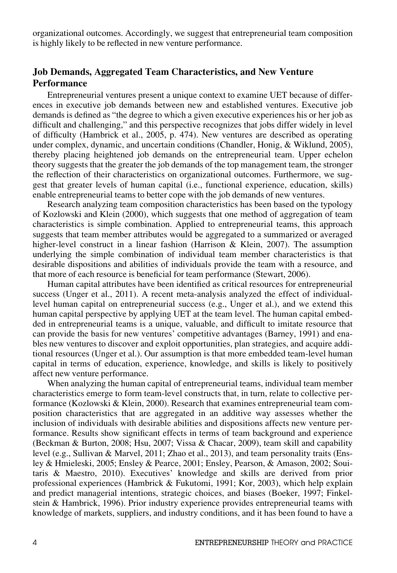organizational outcomes. Accordingly, we suggest that entrepreneurial team composition is highly likely to be reflected in new venture performance.

# Job Demands, Aggregated Team Characteristics, and New Venture **Performance**

Entrepreneurial ventures present a unique context to examine UET because of differences in executive job demands between new and established ventures. Executive job demands is defined as "the degree to which a given executive experiences his or her job as difficult and challenging," and this perspective recognizes that jobs differ widely in level of difficulty (Hambrick et al., 2005, p. 474). New ventures are described as operating under complex, dynamic, and uncertain conditions (Chandler, Honig, & Wiklund, 2005), thereby placing heightened job demands on the entrepreneurial team. Upper echelon theory suggests that the greater the job demands of the top management team, the stronger the reflection of their characteristics on organizational outcomes. Furthermore, we suggest that greater levels of human capital (i.e., functional experience, education, skills) enable entrepreneurial teams to better cope with the job demands of new ventures.

Research analyzing team composition characteristics has been based on the typology of Kozlowski and Klein (2000), which suggests that one method of aggregation of team characteristics is simple combination. Applied to entrepreneurial teams, this approach suggests that team member attributes would be aggregated to a summarized or averaged higher-level construct in a linear fashion (Harrison & Klein, 2007). The assumption underlying the simple combination of individual team member characteristics is that desirable dispositions and abilities of individuals provide the team with a resource, and that more of each resource is beneficial for team performance (Stewart, 2006).

Human capital attributes have been identified as critical resources for entrepreneurial success (Unger et al., 2011). A recent meta-analysis analyzed the effect of individuallevel human capital on entrepreneurial success (e.g., Unger et al.), and we extend this human capital perspective by applying UET at the team level. The human capital embedded in entrepreneurial teams is a unique, valuable, and difficult to imitate resource that can provide the basis for new ventures' competitive advantages (Barney, 1991) and enables new ventures to discover and exploit opportunities, plan strategies, and acquire additional resources (Unger et al.). Our assumption is that more embedded team-level human capital in terms of education, experience, knowledge, and skills is likely to positively affect new venture performance.

When analyzing the human capital of entrepreneurial teams, individual team member characteristics emerge to form team-level constructs that, in turn, relate to collective performance (Kozlowski & Klein, 2000). Research that examines entrepreneurial team composition characteristics that are aggregated in an additive way assesses whether the inclusion of individuals with desirable abilities and dispositions affects new venture performance. Results show significant effects in terms of team background and experience (Beckman & Burton, 2008; Hsu, 2007; Vissa & Chacar, 2009), team skill and capability level (e.g., Sullivan & Marvel, 2011; Zhao et al., 2013), and team personality traits (Ensley & Hmieleski, 2005; Ensley & Pearce, 2001; Ensley, Pearson, & Amason, 2002; Souitaris & Maestro, 2010). Executives' knowledge and skills are derived from prior professional experiences (Hambrick & Fukutomi, 1991; Kor, 2003), which help explain and predict managerial intentions, strategic choices, and biases (Boeker, 1997; Finkelstein & Hambrick, 1996). Prior industry experience provides entrepreneurial teams with knowledge of markets, suppliers, and industry conditions, and it has been found to have a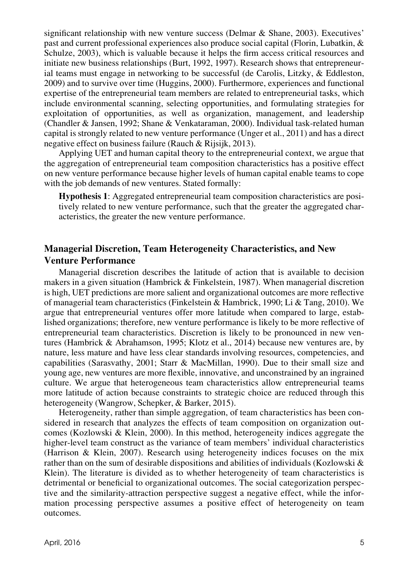significant relationship with new venture success (Delmar & Shane, 2003). Executives' past and current professional experiences also produce social capital (Florin, Lubatkin, & Schulze, 2003), which is valuable because it helps the firm access critical resources and initiate new business relationships (Burt, 1992, 1997). Research shows that entrepreneurial teams must engage in networking to be successful (de Carolis, Litzky, & Eddleston, 2009) and to survive over time (Huggins, 2000). Furthermore, experiences and functional expertise of the entrepreneurial team members are related to entrepreneurial tasks, which include environmental scanning, selecting opportunities, and formulating strategies for exploitation of opportunities, as well as organization, management, and leadership (Chandler & Jansen, 1992; Shane & Venkataraman, 2000). Individual task-related human capital is strongly related to new venture performance (Unger et al., 2011) and has a direct negative effect on business failure (Rauch & Rijsijk, 2013).

Applying UET and human capital theory to the entrepreneurial context, we argue that the aggregation of entrepreneurial team composition characteristics has a positive effect on new venture performance because higher levels of human capital enable teams to cope with the job demands of new ventures. Stated formally:

Hypothesis 1: Aggregated entrepreneurial team composition characteristics are positively related to new venture performance, such that the greater the aggregated characteristics, the greater the new venture performance.

# Managerial Discretion, Team Heterogeneity Characteristics, and New Venture Performance

Managerial discretion describes the latitude of action that is available to decision makers in a given situation (Hambrick & Finkelstein, 1987). When managerial discretion is high, UET predictions are more salient and organizational outcomes are more reflective of managerial team characteristics (Finkelstein & Hambrick, 1990; Li & Tang, 2010). We argue that entrepreneurial ventures offer more latitude when compared to large, established organizations; therefore, new venture performance is likely to be more reflective of entrepreneurial team characteristics. Discretion is likely to be pronounced in new ventures (Hambrick & Abrahamson, 1995; Klotz et al., 2014) because new ventures are, by nature, less mature and have less clear standards involving resources, competencies, and capabilities (Sarasvathy, 2001; Starr & MacMillan, 1990). Due to their small size and young age, new ventures are more flexible, innovative, and unconstrained by an ingrained culture. We argue that heterogeneous team characteristics allow entrepreneurial teams more latitude of action because constraints to strategic choice are reduced through this heterogeneity (Wangrow, Schepker, & Barker, 2015).

Heterogeneity, rather than simple aggregation, of team characteristics has been considered in research that analyzes the effects of team composition on organization outcomes (Kozlowski & Klein, 2000). In this method, heterogeneity indices aggregate the higher-level team construct as the variance of team members' individual characteristics (Harrison & Klein, 2007). Research using heterogeneity indices focuses on the mix rather than on the sum of desirable dispositions and abilities of individuals (Kozlowski & Klein). The literature is divided as to whether heterogeneity of team characteristics is detrimental or beneficial to organizational outcomes. The social categorization perspective and the similarity-attraction perspective suggest a negative effect, while the information processing perspective assumes a positive effect of heterogeneity on team outcomes.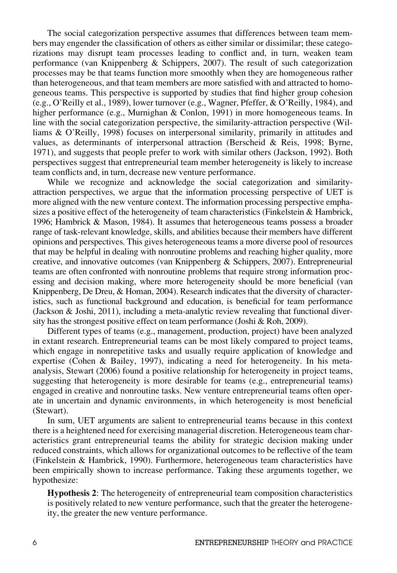The social categorization perspective assumes that differences between team members may engender the classification of others as either similar or dissimilar; these categorizations may disrupt team processes leading to conflict and, in turn, weaken team performance (van Knippenberg & Schippers, 2007). The result of such categorization processes may be that teams function more smoothly when they are homogeneous rather than heterogeneous, and that team members are more satisfied with and attracted to homogeneous teams. This perspective is supported by studies that find higher group cohesion (e.g., O'Reilly et al., 1989), lower turnover (e.g., Wagner, Pfeffer, & O'Reilly, 1984), and higher performance (e.g., Murnighan & Conlon, 1991) in more homogeneous teams. In line with the social categorization perspective, the similarity-attraction perspective (Williams & O'Reilly, 1998) focuses on interpersonal similarity, primarily in attitudes and values, as determinants of interpersonal attraction (Berscheid & Reis, 1998; Byrne, 1971), and suggests that people prefer to work with similar others (Jackson, 1992). Both perspectives suggest that entrepreneurial team member heterogeneity is likely to increase team conflicts and, in turn, decrease new venture performance.

While we recognize and acknowledge the social categorization and similarityattraction perspectives, we argue that the information processing perspective of UET is more aligned with the new venture context. The information processing perspective emphasizes a positive effect of the heterogeneity of team characteristics (Finkelstein  $\&$  Hambrick, 1996; Hambrick & Mason, 1984). It assumes that heterogeneous teams possess a broader range of task-relevant knowledge, skills, and abilities because their members have different opinions and perspectives. This gives heterogeneous teams a more diverse pool of resources that may be helpful in dealing with nonroutine problems and reaching higher quality, more creative, and innovative outcomes (van Knippenberg & Schippers, 2007). Entrepreneurial teams are often confronted with nonroutine problems that require strong information processing and decision making, where more heterogeneity should be more beneficial (van Knippenberg, De Dreu, & Homan, 2004). Research indicates that the diversity of characteristics, such as functional background and education, is beneficial for team performance (Jackson & Joshi, 2011), including a meta-analytic review revealing that functional diversity has the strongest positive effect on team performance (Joshi & Roh, 2009).

Different types of teams (e.g., management, production, project) have been analyzed in extant research. Entrepreneurial teams can be most likely compared to project teams, which engage in nonrepetitive tasks and usually require application of knowledge and expertise (Cohen & Bailey, 1997), indicating a need for heterogeneity. In his metaanalysis, Stewart (2006) found a positive relationship for heterogeneity in project teams, suggesting that heterogeneity is more desirable for teams (e.g., entrepreneurial teams) engaged in creative and nonroutine tasks. New venture entrepreneurial teams often operate in uncertain and dynamic environments, in which heterogeneity is most beneficial (Stewart).

In sum, UET arguments are salient to entrepreneurial teams because in this context there is a heightened need for exercising managerial discretion. Heterogeneous team characteristics grant entrepreneurial teams the ability for strategic decision making under reduced constraints, which allows for organizational outcomes to be reflective of the team (Finkelstein & Hambrick, 1990). Furthermore, heterogeneous team characteristics have been empirically shown to increase performance. Taking these arguments together, we hypothesize:

Hypothesis 2: The heterogeneity of entrepreneurial team composition characteristics is positively related to new venture performance, such that the greater the heterogeneity, the greater the new venture performance.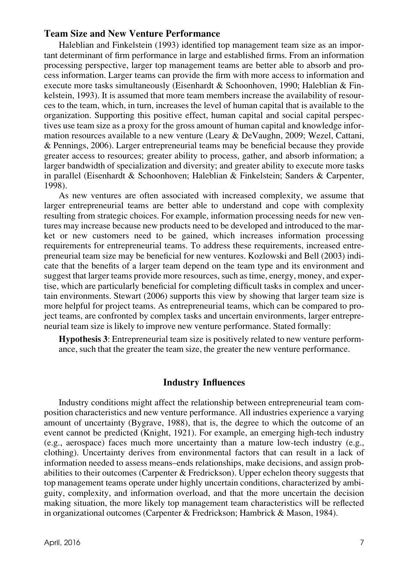## Team Size and New Venture Performance

Haleblian and Finkelstein (1993) identified top management team size as an important determinant of firm performance in large and established firms. From an information processing perspective, larger top management teams are better able to absorb and process information. Larger teams can provide the firm with more access to information and execute more tasks simultaneously (Eisenhardt & Schoonhoven, 1990; Haleblian & Finkelstein, 1993). It is assumed that more team members increase the availability of resources to the team, which, in turn, increases the level of human capital that is available to the organization. Supporting this positive effect, human capital and social capital perspectives use team size as a proxy for the gross amount of human capital and knowledge information resources available to a new venture (Leary & DeVaughn, 2009; Wezel, Cattani, & Pennings, 2006). Larger entrepreneurial teams may be beneficial because they provide greater access to resources; greater ability to process, gather, and absorb information; a larger bandwidth of specialization and diversity; and greater ability to execute more tasks in parallel (Eisenhardt & Schoonhoven; Haleblian & Finkelstein; Sanders & Carpenter, 1998).

As new ventures are often associated with increased complexity, we assume that larger entrepreneurial teams are better able to understand and cope with complexity resulting from strategic choices. For example, information processing needs for new ventures may increase because new products need to be developed and introduced to the market or new customers need to be gained, which increases information processing requirements for entrepreneurial teams. To address these requirements, increased entrepreneurial team size may be beneficial for new ventures. Kozlowski and Bell (2003) indicate that the benefits of a larger team depend on the team type and its environment and suggest that larger teams provide more resources, such as time, energy, money, and expertise, which are particularly beneficial for completing difficult tasks in complex and uncertain environments. Stewart (2006) supports this view by showing that larger team size is more helpful for project teams. As entrepreneurial teams, which can be compared to project teams, are confronted by complex tasks and uncertain environments, larger entrepreneurial team size is likely to improve new venture performance. Stated formally:

Hypothesis 3: Entrepreneurial team size is positively related to new venture performance, such that the greater the team size, the greater the new venture performance.

#### Industry Influences

Industry conditions might affect the relationship between entrepreneurial team composition characteristics and new venture performance. All industries experience a varying amount of uncertainty (Bygrave, 1988), that is, the degree to which the outcome of an event cannot be predicted (Knight, 1921). For example, an emerging high-tech industry (e.g., aerospace) faces much more uncertainty than a mature low-tech industry (e.g., clothing). Uncertainty derives from environmental factors that can result in a lack of information needed to assess means–ends relationships, make decisions, and assign probabilities to their outcomes (Carpenter  $&$  Fredrickson). Upper echelon theory suggests that top management teams operate under highly uncertain conditions, characterized by ambiguity, complexity, and information overload, and that the more uncertain the decision making situation, the more likely top management team characteristics will be reflected in organizational outcomes (Carpenter & Fredrickson; Hambrick & Mason, 1984).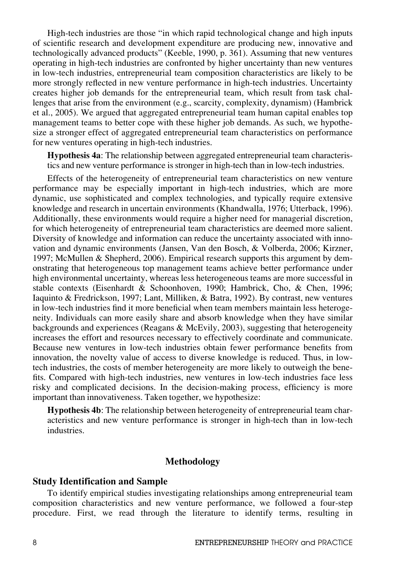High-tech industries are those "in which rapid technological change and high inputs of scientific research and development expenditure are producing new, innovative and technologically advanced products" (Keeble, 1990, p. 361). Assuming that new ventures operating in high-tech industries are confronted by higher uncertainty than new ventures in low-tech industries, entrepreneurial team composition characteristics are likely to be more strongly reflected in new venture performance in high-tech industries. Uncertainty creates higher job demands for the entrepreneurial team, which result from task challenges that arise from the environment (e.g., scarcity, complexity, dynamism) (Hambrick et al., 2005). We argued that aggregated entrepreneurial team human capital enables top management teams to better cope with these higher job demands. As such, we hypothesize a stronger effect of aggregated entrepreneurial team characteristics on performance for new ventures operating in high-tech industries.

Hypothesis 4a: The relationship between aggregated entrepreneurial team characteristics and new venture performance is stronger in high-tech than in low-tech industries.

Effects of the heterogeneity of entrepreneurial team characteristics on new venture performance may be especially important in high-tech industries, which are more dynamic, use sophisticated and complex technologies, and typically require extensive knowledge and research in uncertain environments (Khandwalla, 1976; Utterback, 1996). Additionally, these environments would require a higher need for managerial discretion, for which heterogeneity of entrepreneurial team characteristics are deemed more salient. Diversity of knowledge and information can reduce the uncertainty associated with innovation and dynamic environments (Jansen, Van den Bosch, & Volberda, 2006; Kirzner, 1997; McMullen & Shepherd, 2006). Empirical research supports this argument by demonstrating that heterogeneous top management teams achieve better performance under high environmental uncertainty, whereas less heterogeneous teams are more successful in stable contexts (Eisenhardt & Schoonhoven, 1990; Hambrick, Cho, & Chen, 1996; Iaquinto & Fredrickson, 1997; Lant, Milliken, & Batra, 1992). By contrast, new ventures in low-tech industries find it more beneficial when team members maintain less heterogeneity. Individuals can more easily share and absorb knowledge when they have similar backgrounds and experiences (Reagans & McEvily, 2003), suggesting that heterogeneity increases the effort and resources necessary to effectively coordinate and communicate. Because new ventures in low-tech industries obtain fewer performance benefits from innovation, the novelty value of access to diverse knowledge is reduced. Thus, in lowtech industries, the costs of member heterogeneity are more likely to outweigh the benefits. Compared with high-tech industries, new ventures in low-tech industries face less risky and complicated decisions. In the decision-making process, efficiency is more important than innovativeness. Taken together, we hypothesize:

Hypothesis 4b: The relationship between heterogeneity of entrepreneurial team characteristics and new venture performance is stronger in high-tech than in low-tech industries.

#### Methodology

#### Study Identification and Sample

To identify empirical studies investigating relationships among entrepreneurial team composition characteristics and new venture performance, we followed a four-step procedure. First, we read through the literature to identify terms, resulting in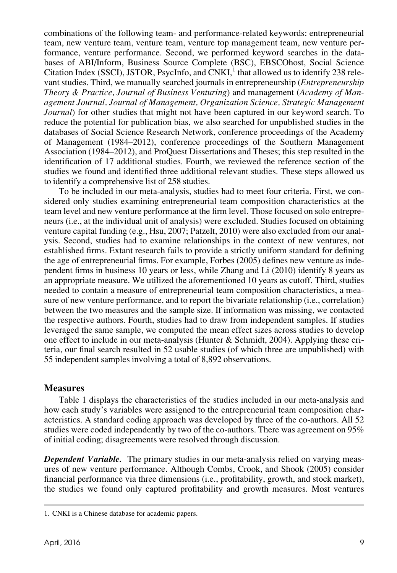combinations of the following team- and performance-related keywords: entrepreneurial team, new venture team, venture team, venture top management team, new venture performance, venture performance. Second, we performed keyword searches in the databases of ABI/Inform, Business Source Complete (BSC), EBSCOhost, Social Science Citation Index (SSCI), JSTOR, PsycInfo, and  $\overline{CNKI}^1$ , that allowed us to identify 238 relevant studies. Third, we manually searched journals in entrepreneurship (Entrepreneurship Theory & Practice, Journal of Business Venturing) and management (Academy of Management Journal, Journal of Management, Organization Science, Strategic Management Journal) for other studies that might not have been captured in our keyword search. To reduce the potential for publication bias, we also searched for unpublished studies in the databases of Social Science Research Network, conference proceedings of the Academy of Management (1984–2012), conference proceedings of the Southern Management Association (1984–2012), and ProQuest Dissertations and Theses; this step resulted in the identification of 17 additional studies. Fourth, we reviewed the reference section of the studies we found and identified three additional relevant studies. These steps allowed us to identify a comprehensive list of 258 studies.

To be included in our meta-analysis, studies had to meet four criteria. First, we considered only studies examining entrepreneurial team composition characteristics at the team level and new venture performance at the firm level. Those focused on solo entrepreneurs (i.e., at the individual unit of analysis) were excluded. Studies focused on obtaining venture capital funding (e.g., Hsu, 2007; Patzelt, 2010) were also excluded from our analysis. Second, studies had to examine relationships in the context of new ventures, not established firms. Extant research fails to provide a strictly uniform standard for defining the age of entrepreneurial firms. For example, Forbes (2005) defines new venture as independent firms in business 10 years or less, while Zhang and Li (2010) identify 8 years as an appropriate measure. We utilized the aforementioned 10 years as cutoff. Third, studies needed to contain a measure of entrepreneurial team composition characteristics, a measure of new venture performance, and to report the bivariate relationship (i.e., correlation) between the two measures and the sample size. If information was missing, we contacted the respective authors. Fourth, studies had to draw from independent samples. If studies leveraged the same sample, we computed the mean effect sizes across studies to develop one effect to include in our meta-analysis (Hunter & Schmidt, 2004). Applying these criteria, our final search resulted in 52 usable studies (of which three are unpublished) with 55 independent samples involving a total of 8,892 observations.

## **Measures**

Table 1 displays the characteristics of the studies included in our meta-analysis and how each study's variables were assigned to the entrepreneurial team composition characteristics. A standard coding approach was developed by three of the co-authors. All 52 studies were coded independently by two of the co-authors. There was agreement on 95% of initial coding; disagreements were resolved through discussion.

**Dependent Variable.** The primary studies in our meta-analysis relied on varying measures of new venture performance. Although Combs, Crook, and Shook (2005) consider financial performance via three dimensions (i.e., profitability, growth, and stock market), the studies we found only captured profitability and growth measures. Most ventures

<sup>1.</sup> CNKI is a Chinese database for academic papers.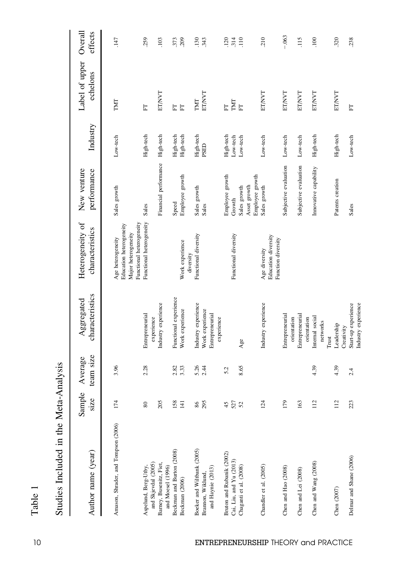| D                        |
|--------------------------|
| $\overline{\phantom{a}}$ |
| f                        |
|                          |

| pusicut<br>ř             |  |
|--------------------------|--|
| $\alpha$ ta<br>יני<br>ב  |  |
| he J                     |  |
| ۱<br>بالا<br>j<br>)<br>) |  |
| $\overline{C}$           |  |
| $\frac{c}{1}$            |  |

| Author name (year)                                                             | Sample<br>size          | team size<br>Average | characteristics<br>Aggregated                             | Heterogeneity of<br>characteristics                                 | New venture<br>performance                                | Industry                          | Label of upper<br>echelons        | Overall<br>effects           |
|--------------------------------------------------------------------------------|-------------------------|----------------------|-----------------------------------------------------------|---------------------------------------------------------------------|-----------------------------------------------------------|-----------------------------------|-----------------------------------|------------------------------|
| Amason, Shrader, and Tompson (2006)                                            | 174                     | 3.96                 |                                                           | Education heterogeneity<br>Major heterogeneity<br>Age heterogeneity | Sales growth                                              | Low-tech                          | TMT                               | .147                         |
| and Skjevdal (2005)<br>Aspelund, Berg-Utby,                                    | 80                      | 2.28                 | Entrepreneurial<br>experience                             | Functional heterogeneity<br>Functional heterogeneity                | Sales                                                     | High-tech                         | E                                 | 259                          |
| Barney, Busenitz, Fiet,<br>and Moesel (1996)                                   | 205                     |                      | Industry experience                                       |                                                                     | Financial performance                                     | High-tech                         | ET/NVT                            | .103                         |
| Beckman and Burton (2008)<br>Beckman (2006)                                    | 158<br>$\overline{141}$ | 2.82<br>3.33         | Functional experience<br>Work experience                  | Work experience                                                     | Employee growth<br>Speed                                  | High-tech<br>High-tech            | 日日                                | .373<br>.209                 |
| Boeker and Wiltbank (2005)<br>and Haynie (2013)<br>Brannon, Wiklund            | 295<br>86               | 5.26<br>2.44         | Industry experience<br>Work experience<br>Entrepreneurial | Functional diversity<br>diversity                                   | Sales growth<br>Sales                                     | High-tech<br>PSED                 | ET/NVT<br>TMT                     | 343<br><b>130</b>            |
| Bruton and Rubanik (2002)<br>Cai, Liu, and Yu (2013)<br>Chaganti et al. (2008) | 527<br>45               | 8.65<br>5.2          | experience<br>Age                                         | Functional diversity                                                | Employee growth<br>Asset growth<br>Sales growth<br>Growth | High-tech<br>Low-tech<br>Low-tech | TMT<br>$\overline{\text{E}}$<br>E | .314<br>120<br>$\frac{1}{2}$ |
| Chandler et al. (2005)                                                         | 124                     |                      | Industry experience                                       | Education diversity<br>Function diversity<br>Age diversity          | Employee growth<br>Sales growth                           | Low-tech                          | ET/NVT                            | 210                          |
| Chen and Hao (2008)                                                            | 179                     |                      | Entrepreneurial<br>orientation                            |                                                                     | Subjective evaluation                                     | Low-tech                          | ET/NVT                            | $-.063$                      |
| Chen and Lei (2008)                                                            | 163                     |                      | Entrepreneurial<br>orientation                            |                                                                     | Subjective evaluation                                     | Low-tech                          | ET/NVT                            | 115                          |
| Chen and Wang (2008)                                                           | 112                     | 4.39                 | Internal social<br>networks                               |                                                                     | Imovative capability                                      | High-tech                         | ET/NVT                            | 100                          |
| Chen (2007)                                                                    | 112                     | 4.39                 | Leadership<br>Creativity<br>Trust                         |                                                                     | Patents creation                                          | High-tech                         | ET/NVT                            | 320                          |
| Delmar and Shane (2006)                                                        | 223                     | 2.4                  | Industry experience<br>Start-up experience                |                                                                     | Sales                                                     | Low-tech                          | E                                 | 238                          |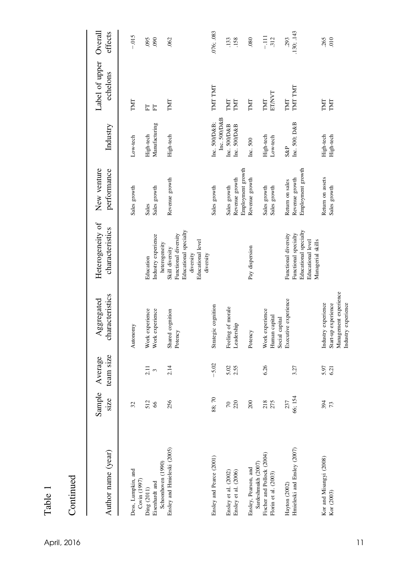| ω<br>᠊᠇<br>⊢ |  |
|--------------|--|

| April, 2016 |  | 11 |
|-------------|--|----|
|             |  |    |

Continued

Continued

| Author name (year)                                                       | Sample<br>size        | team size<br>Average   | characteristics<br>Aggregated                                                              | Heterogeneity of<br>characteristics                                                                                 | New venture<br>performance                             | Industry                                     | Label of upper Overall<br>echelons | effects         |
|--------------------------------------------------------------------------|-----------------------|------------------------|--------------------------------------------------------------------------------------------|---------------------------------------------------------------------------------------------------------------------|--------------------------------------------------------|----------------------------------------------|------------------------------------|-----------------|
| Dess, Lumpkin, and<br>Covin (1997)                                       | 32                    |                        | Autonomy                                                                                   |                                                                                                                     | Sales growth                                           | Low-tech                                     | TMT                                | $-.015$         |
| Eisenhardt and<br>Ding (2011)                                            | 512<br>66             | 2.11<br>$\mathfrak{S}$ | Work experience<br>Work experience                                                         | Industry experience<br>Education                                                                                    | Sales growth<br>Sales                                  | Manufacturing<br>High-tech                   | E<br>日                             | 095<br>090      |
| Ensley and Hmieleski (2005)<br>Schoonhoven (1990)                        | 256                   | 2.14                   | Shared cognition<br>Potency                                                                | Educational specialty<br>Functional diversity<br>Educational level<br>heterogeneity<br>Skill diversity<br>diversity | Revenue growth                                         | High-tech                                    | TMT                                | .062            |
| Ensley and Pearce (2001)                                                 | 88;70                 | $-5.02$                | Strategic cognition                                                                        | diversity                                                                                                           | Sales growth                                           | Inc. 500/D&B                                 | TMT TMT                            | 076; 083        |
| Ensley et al. (2002)<br>Ensley et al. (2006)                             | 220<br>$\overline{0}$ | 5.02<br>2.55           | Feeling of morale<br>Leadership                                                            |                                                                                                                     | Revenue growth<br>Sales growth                         | Inc. 500/D&B<br>Inc. 500/D&B<br>Inc. 500/D&B | TMT<br><b>LNL</b>                  | .133<br>.158    |
| Ensley, Pearson, and                                                     | 200                   |                        | Potency                                                                                    | Pay dispersion                                                                                                      | Employment growth<br>Revenue growth                    | Inc. 500                                     | TMT                                | .080            |
| Fischer and Pollock (2004)<br>Sardeshmukh (2007)<br>Florin et al. (2003) | 218                   | 6.26                   | Work experience<br>Human capital<br>Social capital                                         |                                                                                                                     | Sales growth<br>Sales growth                           | High-tech<br>Low-tech                        | ETAVT<br>TMT                       | $\Xi$<br>.312   |
| Hmieleski and Ensley (2007)<br>Hayton (2002)                             | 66; 154<br>237        | 3.27                   | Executive experience                                                                       | Educational specialty<br>Functional diversity<br>Functional specialty<br>Educational level                          | Employment growth<br>Revenue growth<br>Return on sales | Inc. 500; D&B<br>$S\&P$                      | TMT TMT<br>TMT                     | 130; 143<br>293 |
| Kor and Misangyi (2008)<br>Kor (2003)                                    | 394<br>73             | 5.97<br>6.21           | Management experience<br>Industry experience<br>Start-up experience<br>Industry experience | Managerial skills                                                                                                   | Return on assets<br>Sales growth                       | High-tech<br>High-tech                       | TMT<br>TMT                         | 265<br>010      |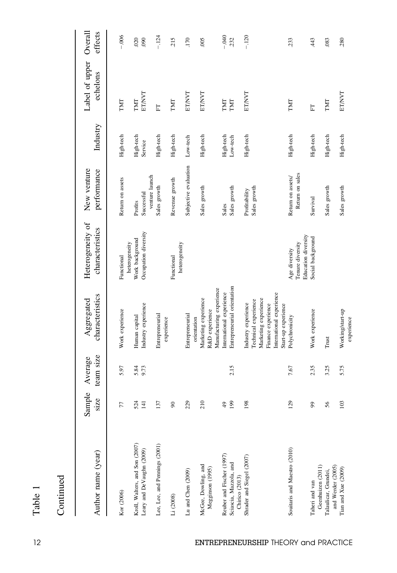| ω<br>r<br>ದ<br>÷.<br>┗ |  |
|------------------------|--|

|  | ٦ |  |
|--|---|--|
|  |   |  |
|  | I |  |
|  |   |  |
|  |   |  |

| Author name (year)                                                    | Sample<br>size          | team size<br>Average | characteristics<br>Aggregated                                                                                         | Heterogeneity of<br>characteristics                      | New venture<br>performance           | Industry              | Label of upper Overall<br>echelons | effects         |
|-----------------------------------------------------------------------|-------------------------|----------------------|-----------------------------------------------------------------------------------------------------------------------|----------------------------------------------------------|--------------------------------------|-----------------------|------------------------------------|-----------------|
| Kor (2006)                                                            | 77                      | 5.97                 | Work experience                                                                                                       | Functional                                               | Return on assets                     | High-tech             | TMT                                | $-0.006$        |
| Kroll, Walters, and Son (2007)<br>Leary and DeVaughn (2009)           | 524<br>$\overline{141}$ | 5.84<br>9.73         | Industry experience<br>Human capital                                                                                  | Occupation diversity<br>Work background<br>heterogeneity | Successful<br>Profits                | High-tech<br>Service  | <b>ET/NVT</b><br>TMT               | 020<br>090      |
| Lee, Lee, and Pennings (2001)                                         | 137                     |                      | Entrepreneurial                                                                                                       |                                                          | venture launch<br>Sales growth       | High-tech             | E                                  | $-.124$         |
| Li (2008)                                                             | $\infty$                |                      | experience                                                                                                            | heterogeneity<br>Functional                              | Revenue growth                       | High-tech             | TMT                                | 215             |
| Lu and Chen (2009)                                                    | 229                     |                      | Entrepreneurial<br>orientation                                                                                        |                                                          | Subjective evaluation                | Low-tech              | ET/NVT                             | .170            |
| McGee, Dowling, and<br>Megginson (1995)                               | 210                     |                      | Marketing experience<br>R&D experience                                                                                |                                                          | Sales growth                         | High-tech             | ET/NVT                             | .005            |
| Reuber and Fischer (1997)<br>Sciascia, Mazzola, and<br>Chirico (2013) | 199<br>$\frac{49}{5}$   | 2.15                 | Entrepreneurial orientation<br>Manufacturing experience<br>International experience                                   |                                                          | Sales growth<br>Sales                | High-tech<br>Low-tech | TMT<br>TMT                         | $-0.040$<br>232 |
| Shrader and Siegel (2007)                                             | 198                     |                      | International experience<br>Marketing experience<br>Technical experience<br>Industry experience<br>Finance experience |                                                          | Sales growth<br>Profitability        | High-tech             | <b>ET/NVT</b>                      | $-120$          |
| Souitaris and Maestro (2010)                                          | 129                     | 7.67                 | Start-up experience<br>Polychronicity                                                                                 | Tenure diversity<br>Age diversity                        | Return on sales<br>Return on assets/ | High-tech             | TMT                                | 233             |
| Taheri and van                                                        | 99                      | 2.35                 | Work experience                                                                                                       | Education diversity<br>Social background                 | Survival                             | High-tech             | 匠                                  | 43              |
| Geenhuizen (2011)<br>Talaulicar, Grundei,                             | 56                      | 3.25                 | Trust                                                                                                                 |                                                          | Sales growth                         | High-tech             | TMT                                | .083            |
| and Werder (2005)<br>Tian and $Xue$ $(2009)$                          | 103                     | 5.75                 | Working/start-up<br>experience                                                                                        |                                                          | Sales growth                         | High-tech             | <b>ET/NVT</b>                      | 280             |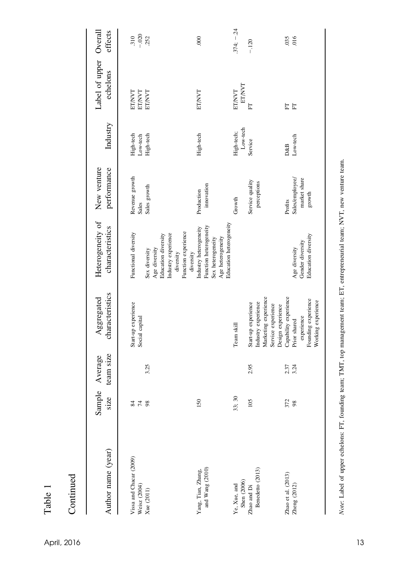| ω<br>a<br>۳ |  |
|-------------|--|

| April, 2016 | 13 |
|-------------|----|

| Author name (year)                                    | Sample<br>size  | team size<br>Average | characteristics<br>Aggregated                                                                    | Heterogeneity of<br>characteristics                                                                                                      | New venture<br>performance                           | Industry                           | Label of upper Overall<br>echelons      | effects                 |
|-------------------------------------------------------|-----------------|----------------------|--------------------------------------------------------------------------------------------------|------------------------------------------------------------------------------------------------------------------------------------------|------------------------------------------------------|------------------------------------|-----------------------------------------|-------------------------|
| Vissa and Chacar (2009)<br>Weisz (2004)<br>Xue (2011) | $74$ $88$<br>84 | 3.25                 | Start-up experience<br>Social capital                                                            | Function experience<br>Functional diversity<br>Industry experience<br>Education diversity<br>Age diversity<br>Sex diversity<br>diversity | Revenue growth<br>Sales growth<br>Sales              | High-tech<br>High-tech<br>Low-tech | ET/NVT<br><b>ETANT</b><br><b>ET/NVT</b> | $-020$<br>252<br>310    |
| and Wang (2010)<br>Yang, Tian, Zhang,                 | 150             |                      |                                                                                                  | Education heterogeneity<br>Function heterogeneity<br>Industry heterogeneity<br>Age heterogeneity<br>Sex heterogeneity<br>diversity       | innovation<br>Production                             | High-tech                          | ET/NVT                                  | 000                     |
| Shen (2006)<br>Ye, Xue, and<br>Zhao and Di            | 33; 30<br>105   | 2.95                 | Start-up experience<br>Team skill                                                                |                                                                                                                                          | Service quality<br>Growth                            | Low-tech<br>High-tech;<br>Service  | <b>ELVALE</b><br>ET/NVT<br>E            | $.374; -.24$<br>$-.120$ |
| Benedetto (2013)                                      |                 |                      | Marketing experience<br>Industry experience<br>Service experience<br>Design experience           |                                                                                                                                          | perceptions                                          |                                    |                                         |                         |
| Zhao et al. (2013)<br>Zheng (2012)                    | 372<br>98       | 2.37<br>3.24         | Capability experience<br>Founding experience<br>Working experience<br>experience<br>Prior shared | Education diversity<br>Gender diversity<br>Age diversity                                                                                 | Sales/employee/<br>market share<br>growth<br>Profits | Low-tech<br>D&B                    | $\overline{\text{E}}$<br>E              | 035<br>016              |

Note: Label of upper echelons: FT, founding team; TMT, top management team; ET, entrepreneurial team; NVT, new venture team. Note: Label of upper echelons: FT, founding team; TMT, top management team; ET, entrepreneurial team; NVT, new venture team.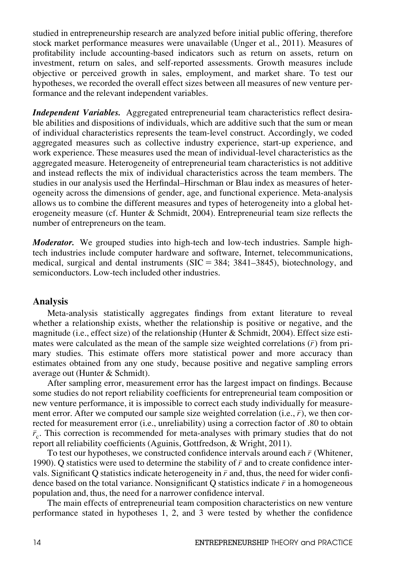studied in entrepreneurship research are analyzed before initial public offering, therefore stock market performance measures were unavailable (Unger et al., 2011). Measures of profitability include accounting-based indicators such as return on assets, return on investment, return on sales, and self-reported assessments. Growth measures include objective or perceived growth in sales, employment, and market share. To test our hypotheses, we recorded the overall effect sizes between all measures of new venture performance and the relevant independent variables.

Independent Variables. Aggregated entrepreneurial team characteristics reflect desirable abilities and dispositions of individuals, which are additive such that the sum or mean of individual characteristics represents the team-level construct. Accordingly, we coded aggregated measures such as collective industry experience, start-up experience, and work experience. These measures used the mean of individual-level characteristics as the aggregated measure. Heterogeneity of entrepreneurial team characteristics is not additive and instead reflects the mix of individual characteristics across the team members. The studies in our analysis used the Herfindal–Hirschman or Blau index as measures of heterogeneity across the dimensions of gender, age, and functional experience. Meta-analysis allows us to combine the different measures and types of heterogeneity into a global heterogeneity measure (cf. Hunter  $&$  Schmidt, 2004). Entrepreneurial team size reflects the number of entrepreneurs on the team.

**Moderator.** We grouped studies into high-tech and low-tech industries. Sample hightech industries include computer hardware and software, Internet, telecommunications, medical, surgical and dental instruments  $(SIC = 384; 3841-3845)$ , biotechnology, and semiconductors. Low-tech included other industries.

## Analysis

Meta-analysis statistically aggregates findings from extant literature to reveal whether a relationship exists, whether the relationship is positive or negative, and the magnitude (i.e., effect size) of the relationship (Hunter & Schmidt, 2004). Effect size estimates were calculated as the mean of the sample size weighted correlations  $(\bar{r})$  from primary studies. This estimate offers more statistical power and more accuracy than estimates obtained from any one study, because positive and negative sampling errors average out (Hunter & Schmidt).

After sampling error, measurement error has the largest impact on findings. Because some studies do not report reliability coefficients for entrepreneurial team composition or new venture performance, it is impossible to correct each study individually for measurement error. After we computed our sample size weighted correlation (i.e.,  $\bar{r}$ ), we then corrected for measurement error (i.e., unreliability) using a correction factor of .80 to obtain  $\bar{r}_c$ . This correction is recommended for meta-analyses with primary studies that do not report all reliability coefficients (Aguinis, Gottfredson, & Wright, 2011).

To test our hypotheses, we constructed confidence intervals around each  $\bar{r}$  (Whitener, 1990). Q statistics were used to determine the stability of  $\bar{r}$  and to create confidence intervals. Significant Q statistics indicate heterogeneity in  $\bar{r}$  and, thus, the need for wider confidence based on the total variance. Nonsignificant Q statistics indicate  $\bar{r}$  in a homogeneous population and, thus, the need for a narrower confidence interval.

The main effects of entrepreneurial team composition characteristics on new venture performance stated in hypotheses 1, 2, and 3 were tested by whether the confidence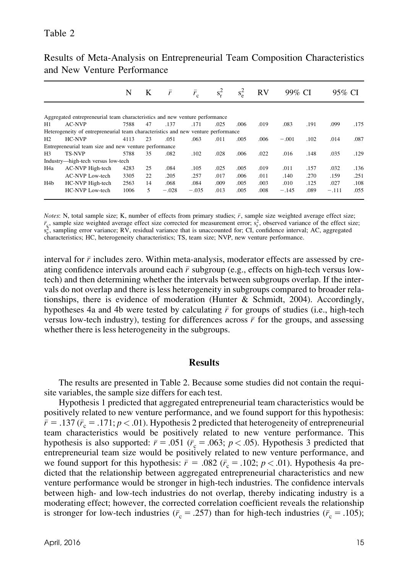|                  |                                                                                   | N    | K  | $\bar{r}$ | $\bar{r}_{c}$ | $s_r^2$ | $s^2$ | <b>RV</b> | 99% CI  |      | 95% CI  |      |
|------------------|-----------------------------------------------------------------------------------|------|----|-----------|---------------|---------|-------|-----------|---------|------|---------|------|
|                  |                                                                                   |      |    |           |               |         |       |           |         |      |         |      |
|                  | Aggregated entrepreneurial team characteristics and new venture performance       |      |    |           |               |         |       |           |         |      |         |      |
| H1               | <b>AC-NVP</b>                                                                     | 7588 | 47 | .137      | .171          | .025    | .006  | .019      | .083    | .191 | .099    | .175 |
|                  | Heterogeneity of entrepreneurial team characteristics and new venture performance |      |    |           |               |         |       |           |         |      |         |      |
| H2               | HC-NVP                                                                            | 4113 | 23 | .051      | .063          | .011    | .005  | .006      | $-.001$ | .102 | .014    | .087 |
|                  | Entrepreneurial team size and new venture performance                             |      |    |           |               |         |       |           |         |      |         |      |
| H3               | <b>TS-NVP</b>                                                                     | 5788 | 35 | .082      | .102          | .028    | .006  | .022      | .016    | .148 | .035    | .129 |
|                  | Industry—high-tech versus low-tech                                                |      |    |           |               |         |       |           |         |      |         |      |
| H <sub>4</sub> a | AC-NVP High-tech                                                                  | 4283 | 25 | .084      | .105          | .025    | .005  | .019      | .011    | .157 | .032    | .136 |
|                  | AC-NVP Low-tech                                                                   | 3305 | 22 | .205      | .257          | .017    | .006  | .011      | .140    | .270 | .159    | .251 |
| H <sub>4</sub> b | HC-NVP High-tech                                                                  | 2563 | 14 | .068      | .084          | .009    | .005  | .003      | .010    | .125 | .027    | .108 |
|                  | HC-NVP Low-tech                                                                   | 1006 | 5  | $-.028$   | $-.035$       | .013    | .005  | .008      | $-.145$ | .089 | $-.111$ | .055 |

Results of Meta-Analysis on Entrepreneurial Team Composition Characteristics and New Venture Performance

Notes: N, total sample size; K, number of effects from primary studies;  $\bar{r}$ , sample size weighted average effect size;  $\bar{r}_s$ , sample size weighted average effect size corrected for measurement error;  $s_r^2$ , observed variance of the effect size;  $s_e^2$ , sampling error variance; RV, residual variance that is unaccounted for; CI, confidence interval; AC, aggregated characteristics; HC, heterogeneity characteristics; TS, team size; NVP, new venture performance.

interval for  $\bar{r}$  includes zero. Within meta-analysis, moderator effects are assessed by creating confidence intervals around each  $\bar{r}$  subgroup (e.g., effects on high-tech versus lowtech) and then determining whether the intervals between subgroups overlap. If the intervals do not overlap and there is less heterogeneity in subgroups compared to broader relationships, there is evidence of moderation (Hunter & Schmidt, 2004). Accordingly, hypotheses 4a and 4b were tested by calculating  $\bar{r}$  for groups of studies (i.e., high-tech versus low-tech industry), testing for differences across  $\bar{r}$  for the groups, and assessing whether there is less heterogeneity in the subgroups.

#### Results

The results are presented in Table 2. Because some studies did not contain the requisite variables, the sample size differs for each test.

Hypothesis 1 predicted that aggregated entrepreneurial team characteristics would be positively related to new venture performance, and we found support for this hypothesis:  $\bar{r} = .137$  ( $\bar{r}_c = .171$ ;  $p < .01$ ). Hypothesis 2 predicted that heterogeneity of entrepreneurial team characteristics would be positively related to new venture performance. This hypothesis is also supported:  $\bar{r} = .051$  ( $\bar{r}_c = .063$ ;  $p < .05$ ). Hypothesis 3 predicted that entrepreneurial team size would be positively related to new venture performance, and we found support for this hypothesis:  $\bar{r} = .082$  ( $\bar{r}_c = .102$ ;  $p < .01$ ). Hypothesis 4a predicted that the relationship between aggregated entrepreneurial characteristics and new venture performance would be stronger in high-tech industries. The confidence intervals between high- and low-tech industries do not overlap, thereby indicating industry is a moderating effect; however, the corrected correlation coefficient reveals the relationship is stronger for low-tech industries ( $\bar{r}_c = .257$ ) than for high-tech industries ( $\bar{r}_c = .105$ );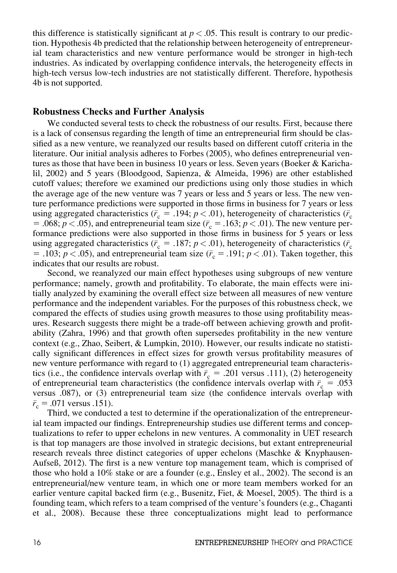this difference is statistically significant at  $p < .05$ . This result is contrary to our prediction. Hypothesis 4b predicted that the relationship between heterogeneity of entrepreneurial team characteristics and new venture performance would be stronger in high-tech industries. As indicated by overlapping confidence intervals, the heterogeneity effects in high-tech versus low-tech industries are not statistically different. Therefore, hypothesis 4b is not supported.

#### Robustness Checks and Further Analysis

We conducted several tests to check the robustness of our results. First, because there is a lack of consensus regarding the length of time an entrepreneurial firm should be classified as a new venture, we reanalyzed our results based on different cutoff criteria in the literature. Our initial analysis adheres to Forbes (2005), who defines entrepreneurial ventures as those that have been in business 10 years or less. Seven years (Boeker & Karichalil, 2002) and 5 years (Bloodgood, Sapienza, & Almeida, 1996) are other established cutoff values; therefore we examined our predictions using only those studies in which the average age of the new venture was 7 years or less and 5 years or less. The new venture performance predictions were supported in those firms in business for 7 years or less using aggregated characteristics ( $\bar{r}_c = .194$ ;  $p < .01$ ), heterogeneity of characteristics ( $\bar{r}_c$ = .068;  $p < .05$ ), and entrepreneurial team size ( $\bar{r}_c = .163$ ;  $p < .01$ ). The new venture performance predictions were also supported in those firms in business for 5 years or less using aggregated characteristics ( $\bar{r}_c = .187$ ;  $p < .01$ ), heterogeneity of characteristics ( $\bar{r}_c$ = .103;  $p < .05$ ), and entrepreneurial team size ( $\bar{r}_c = .191$ ;  $p < .01$ ). Taken together, this indicates that our results are robust.

Second, we reanalyzed our main effect hypotheses using subgroups of new venture performance; namely, growth and profitability. To elaborate, the main effects were initially analyzed by examining the overall effect size between all measures of new venture performance and the independent variables. For the purposes of this robustness check, we compared the effects of studies using growth measures to those using profitability measures. Research suggests there might be a trade-off between achieving growth and profitability (Zahra, 1996) and that growth often supersedes profitability in the new venture context (e.g., Zhao, Seibert, & Lumpkin, 2010). However, our results indicate no statistically significant differences in effect sizes for growth versus profitability measures of new venture performance with regard to (1) aggregated entrepreneurial team characteristics (i.e., the confidence intervals overlap with  $\bar{r}_c = .201$  versus .111), (2) heterogeneity of entrepreneurial team characteristics (the confidence intervals overlap with  $\bar{r}_c = .053$ versus .087), or (3) entrepreneurial team size (the confidence intervals overlap with  $\bar{r}_c = .071$  versus .151).

Third, we conducted a test to determine if the operationalization of the entrepreneurial team impacted our findings. Entrepreneurship studies use different terms and conceptualizations to refer to upper echelons in new ventures. A commonality in UET research is that top managers are those involved in strategic decisions, but extant entrepreneurial research reveals three distinct categories of upper echelons (Maschke & Knyphausen-Aufseß, 2012). The first is a new venture top management team, which is comprised of those who hold a 10% stake or are a founder (e.g., Ensley et al., 2002). The second is an entrepreneurial/new venture team, in which one or more team members worked for an earlier venture capital backed firm (e.g., Busenitz, Fiet, & Moesel, 2005). The third is a founding team, which refers to a team comprised of the venture's founders (e.g., Chaganti et al., 2008). Because these three conceptualizations might lead to performance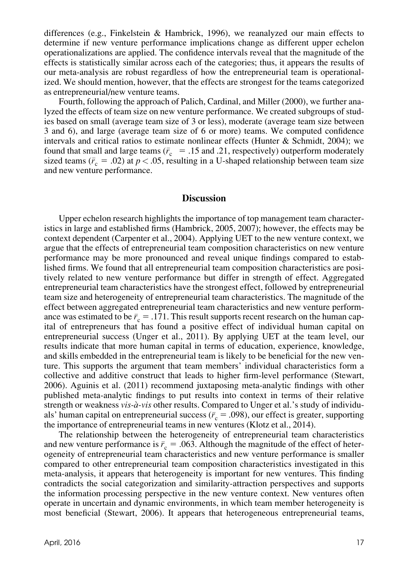differences (e.g., Finkelstein & Hambrick, 1996), we reanalyzed our main effects to determine if new venture performance implications change as different upper echelon operationalizations are applied. The confidence intervals reveal that the magnitude of the effects is statistically similar across each of the categories; thus, it appears the results of our meta-analysis are robust regardless of how the entrepreneurial team is operationalized. We should mention, however, that the effects are strongest for the teams categorized as entrepreneurial/new venture teams.

Fourth, following the approach of Palich, Cardinal, and Miller (2000), we further analyzed the effects of team size on new venture performance. We created subgroups of studies based on small (average team size of 3 or less), moderate (average team size between 3 and 6), and large (average team size of 6 or more) teams. We computed confidence intervals and critical ratios to estimate nonlinear effects (Hunter & Schmidt, 2004); we found that small and large teams ( $\bar{r}_c = .15$  and .21, respectively) outperform moderately sized teams ( $\bar{r}_c = .02$ ) at  $p < .05$ , resulting in a U-shaped relationship between team size and new venture performance.

## **Discussion**

Upper echelon research highlights the importance of top management team characteristics in large and established firms (Hambrick, 2005, 2007); however, the effects may be context dependent (Carpenter et al., 2004). Applying UET to the new venture context, we argue that the effects of entrepreneurial team composition characteristics on new venture performance may be more pronounced and reveal unique findings compared to established firms. We found that all entrepreneurial team composition characteristics are positively related to new venture performance but differ in strength of effect. Aggregated entrepreneurial team characteristics have the strongest effect, followed by entrepreneurial team size and heterogeneity of entrepreneurial team characteristics. The magnitude of the effect between aggregated entrepreneurial team characteristics and new venture performance was estimated to be  $\bar{r}_c = .171$ . This result supports recent research on the human capital of entrepreneurs that has found a positive effect of individual human capital on entrepreneurial success (Unger et al., 2011). By applying UET at the team level, our results indicate that more human capital in terms of education, experience, knowledge, and skills embedded in the entrepreneurial team is likely to be beneficial for the new venture. This supports the argument that team members' individual characteristics form a collective and additive construct that leads to higher firm-level performance (Stewart, 2006). Aguinis et al. (2011) recommend juxtaposing meta-analytic findings with other published meta-analytic findings to put results into context in terms of their relative strength or weakness vis-à-vis other results. Compared to Unger et al.'s study of individuals' human capital on entrepreneurial success ( $\bar{r}_c = .098$ ), our effect is greater, supporting the importance of entrepreneurial teams in new ventures (Klotz et al., 2014).

The relationship between the heterogeneity of entrepreneurial team characteristics and new venture performance is  $\bar{r}_c = .063$ . Although the magnitude of the effect of heterogeneity of entrepreneurial team characteristics and new venture performance is smaller compared to other entrepreneurial team composition characteristics investigated in this meta-analysis, it appears that heterogeneity is important for new ventures. This finding contradicts the social categorization and similarity-attraction perspectives and supports the information processing perspective in the new venture context. New ventures often operate in uncertain and dynamic environments, in which team member heterogeneity is most beneficial (Stewart, 2006). It appears that heterogeneous entrepreneurial teams,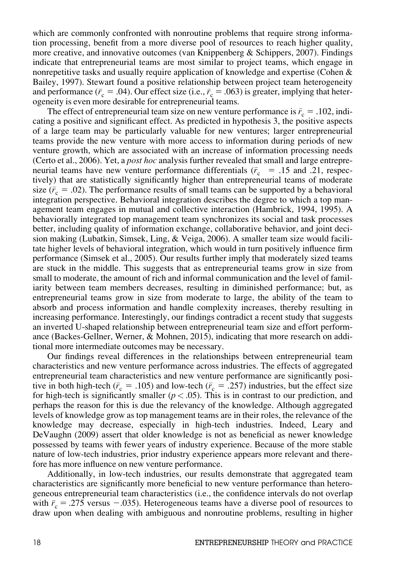which are commonly confronted with nonroutine problems that require strong information processing, benefit from a more diverse pool of resources to reach higher quality, more creative, and innovative outcomes (van Knippenberg  $\&$  Schippers, 2007). Findings indicate that entrepreneurial teams are most similar to project teams, which engage in nonrepetitive tasks and usually require application of knowledge and expertise (Cohen  $\&$ Bailey, 1997). Stewart found a positive relationship between project team heterogeneity and performance ( $\bar{r}_c = .04$ ). Our effect size (i.e.,  $\bar{r}_c = .063$ ) is greater, implying that heterogeneity is even more desirable for entrepreneurial teams.

The effect of entrepreneurial team size on new venture performance is  $\bar{r}_c = .102$ , indicating a positive and significant effect. As predicted in hypothesis 3, the positive aspects of a large team may be particularly valuable for new ventures; larger entrepreneurial teams provide the new venture with more access to information during periods of new venture growth, which are associated with an increase of information processing needs (Certo et al., 2006). Yet, a *post hoc* analysis further revealed that small and large entrepreneurial teams have new venture performance differentials ( $\bar{r}_c = .15$  and .21, respectively) that are statistically significantly higher than entrepreneurial teams of moderate size ( $\bar{r}_c = .02$ ). The performance results of small teams can be supported by a behavioral integration perspective. Behavioral integration describes the degree to which a top management team engages in mutual and collective interaction (Hambrick, 1994, 1995). A behaviorally integrated top management team synchronizes its social and task processes better, including quality of information exchange, collaborative behavior, and joint decision making (Lubatkin, Simsek, Ling, & Veiga, 2006). A smaller team size would facilitate higher levels of behavioral integration, which would in turn positively influence firm performance (Simsek et al., 2005). Our results further imply that moderately sized teams are stuck in the middle. This suggests that as entrepreneurial teams grow in size from small to moderate, the amount of rich and informal communication and the level of familiarity between team members decreases, resulting in diminished performance; but, as entrepreneurial teams grow in size from moderate to large, the ability of the team to absorb and process information and handle complexity increases, thereby resulting in increasing performance. Interestingly, our findings contradict a recent study that suggests an inverted U-shaped relationship between entrepreneurial team size and effort performance (Backes-Gellner, Werner, & Mohnen, 2015), indicating that more research on additional more intermediate outcomes may be necessary.

Our findings reveal differences in the relationships between entrepreneurial team characteristics and new venture performance across industries. The effects of aggregated entrepreneurial team characteristics and new venture performance are significantly positive in both high-tech ( $\bar{r}_c = .105$ ) and low-tech ( $\bar{r}_c = .257$ ) industries, but the effect size for high-tech is significantly smaller ( $p < .05$ ). This is in contrast to our prediction, and perhaps the reason for this is due the relevancy of the knowledge. Although aggregated levels of knowledge grow as top management teams are in their roles, the relevance of the knowledge may decrease, especially in high-tech industries. Indeed, Leary and DeVaughn (2009) assert that older knowledge is not as beneficial as newer knowledge possessed by teams with fewer years of industry experience. Because of the more stable nature of low-tech industries, prior industry experience appears more relevant and therefore has more influence on new venture performance.

Additionally, in low-tech industries, our results demonstrate that aggregated team characteristics are significantly more beneficial to new venture performance than heterogeneous entrepreneurial team characteristics (i.e., the confidence intervals do not overlap with  $\bar{r}_c = .275$  versus -.035). Heterogeneous teams have a diverse pool of resources to draw upon when dealing with ambiguous and nonroutine problems, resulting in higher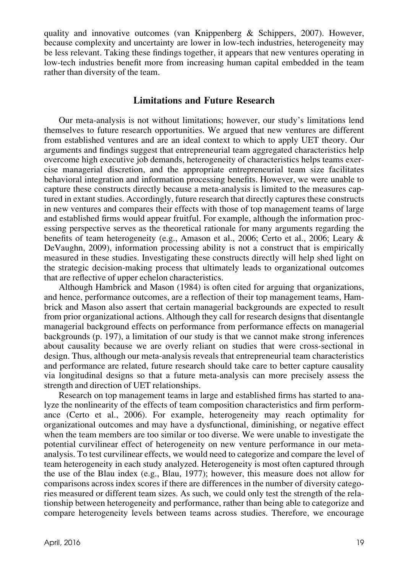quality and innovative outcomes (van Knippenberg & Schippers, 2007). However, because complexity and uncertainty are lower in low-tech industries, heterogeneity may be less relevant. Taking these findings together, it appears that new ventures operating in low-tech industries benefit more from increasing human capital embedded in the team rather than diversity of the team.

# Limitations and Future Research

Our meta-analysis is not without limitations; however, our study's limitations lend themselves to future research opportunities. We argued that new ventures are different from established ventures and are an ideal context to which to apply UET theory. Our arguments and findings suggest that entrepreneurial team aggregated characteristics help overcome high executive job demands, heterogeneity of characteristics helps teams exercise managerial discretion, and the appropriate entrepreneurial team size facilitates behavioral integration and information processing benefits. However, we were unable to capture these constructs directly because a meta-analysis is limited to the measures captured in extant studies. Accordingly, future research that directly captures these constructs in new ventures and compares their effects with those of top management teams of large and established firms would appear fruitful. For example, although the information processing perspective serves as the theoretical rationale for many arguments regarding the benefits of team heterogeneity (e.g., Amason et al., 2006; Certo et al., 2006; Leary & DeVaughn, 2009), information processing ability is not a construct that is empirically measured in these studies. Investigating these constructs directly will help shed light on the strategic decision-making process that ultimately leads to organizational outcomes that are reflective of upper echelon characteristics.

Although Hambrick and Mason (1984) is often cited for arguing that organizations, and hence, performance outcomes, are a reflection of their top management teams, Hambrick and Mason also assert that certain managerial backgrounds are expected to result from prior organizational actions. Although they call for research designs that disentangle managerial background effects on performance from performance effects on managerial backgrounds (p. 197), a limitation of our study is that we cannot make strong inferences about causality because we are overly reliant on studies that were cross-sectional in design. Thus, although our meta-analysis reveals that entrepreneurial team characteristics and performance are related, future research should take care to better capture causality via longitudinal designs so that a future meta-analysis can more precisely assess the strength and direction of UET relationships.

Research on top management teams in large and established firms has started to analyze the nonlinearity of the effects of team composition characteristics and firm performance (Certo et al., 2006). For example, heterogeneity may reach optimality for organizational outcomes and may have a dysfunctional, diminishing, or negative effect when the team members are too similar or too diverse. We were unable to investigate the potential curvilinear effect of heterogeneity on new venture performance in our metaanalysis. To test curvilinear effects, we would need to categorize and compare the level of team heterogeneity in each study analyzed. Heterogeneity is most often captured through the use of the Blau index (e.g., Blau, 1977); however, this measure does not allow for comparisons across index scores if there are differences in the number of diversity categories measured or different team sizes. As such, we could only test the strength of the relationship between heterogeneity and performance, rather than being able to categorize and compare heterogeneity levels between teams across studies. Therefore, we encourage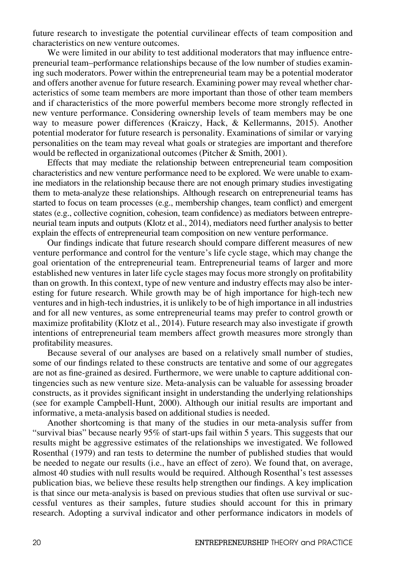future research to investigate the potential curvilinear effects of team composition and characteristics on new venture outcomes.

We were limited in our ability to test additional moderators that may influence entrepreneurial team–performance relationships because of the low number of studies examining such moderators. Power within the entrepreneurial team may be a potential moderator and offers another avenue for future research. Examining power may reveal whether characteristics of some team members are more important than those of other team members and if characteristics of the more powerful members become more strongly reflected in new venture performance. Considering ownership levels of team members may be one way to measure power differences (Kraiczy, Hack, & Kellermanns, 2015). Another potential moderator for future research is personality. Examinations of similar or varying personalities on the team may reveal what goals or strategies are important and therefore would be reflected in organizational outcomes (Pitcher & Smith, 2001).

Effects that may mediate the relationship between entrepreneurial team composition characteristics and new venture performance need to be explored. We were unable to examine mediators in the relationship because there are not enough primary studies investigating them to meta-analyze these relationships. Although research on entrepreneurial teams has started to focus on team processes (e.g., membership changes, team conflict) and emergent states (e.g., collective cognition, cohesion, team confidence) as mediators between entrepreneurial team inputs and outputs (Klotz et al., 2014), mediators need further analysis to better explain the effects of entrepreneurial team composition on new venture performance.

Our findings indicate that future research should compare different measures of new venture performance and control for the venture's life cycle stage, which may change the goal orientation of the entrepreneurial team. Entrepreneurial teams of larger and more established new ventures in later life cycle stages may focus more strongly on profitability than on growth. In this context, type of new venture and industry effects may also be interesting for future research. While growth may be of high importance for high-tech new ventures and in high-tech industries, it is unlikely to be of high importance in all industries and for all new ventures, as some entrepreneurial teams may prefer to control growth or maximize profitability (Klotz et al., 2014). Future research may also investigate if growth intentions of entrepreneurial team members affect growth measures more strongly than profitability measures.

Because several of our analyses are based on a relatively small number of studies, some of our findings related to these constructs are tentative and some of our aggregates are not as fine-grained as desired. Furthermore, we were unable to capture additional contingencies such as new venture size. Meta-analysis can be valuable for assessing broader constructs, as it provides significant insight in understanding the underlying relationships (see for example Campbell-Hunt, 2000). Although our initial results are important and informative, a meta-analysis based on additional studies is needed.

Another shortcoming is that many of the studies in our meta-analysis suffer from "survival bias" because nearly 95% of start-ups fail within 5 years. This suggests that our results might be aggressive estimates of the relationships we investigated. We followed Rosenthal (1979) and ran tests to determine the number of published studies that would be needed to negate our results (i.e., have an effect of zero). We found that, on average, almost 40 studies with null results would be required. Although Rosenthal's test assesses publication bias, we believe these results help strengthen our findings. A key implication is that since our meta-analysis is based on previous studies that often use survival or successful ventures as their samples, future studies should account for this in primary research. Adopting a survival indicator and other performance indicators in models of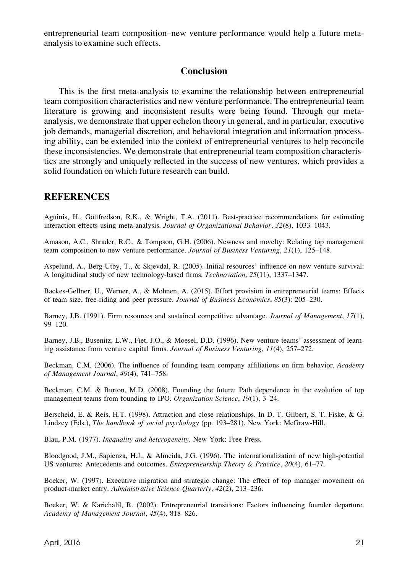entrepreneurial team composition–new venture performance would help a future metaanalysis to examine such effects.

## **Conclusion**

This is the first meta-analysis to examine the relationship between entrepreneurial team composition characteristics and new venture performance. The entrepreneurial team literature is growing and inconsistent results were being found. Through our metaanalysis, we demonstrate that upper echelon theory in general, and in particular, executive job demands, managerial discretion, and behavioral integration and information processing ability, can be extended into the context of entrepreneurial ventures to help reconcile these inconsistencies. We demonstrate that entrepreneurial team composition characteristics are strongly and uniquely reflected in the success of new ventures, which provides a solid foundation on which future research can build.

## **REFERENCES**

Aguinis, H., Gottfredson, R.K., & Wright, T.A. (2011). Best-practice recommendations for estimating interaction effects using meta-analysis. Journal of Organizational Behavior, 32(8), 1033-1043.

Amason, A.C., Shrader, R.C., & Tompson, G.H. (2006). Newness and novelty: Relating top management team composition to new venture performance. Journal of Business Venturing, 21(1), 125–148.

Aspelund, A., Berg-Utby, T., & Skjevdal, R. (2005). Initial resources' influence on new venture survival: A longitudinal study of new technology-based firms. Technovation, 25(11), 1337–1347.

Backes-Gellner, U., Werner, A., & Mohnen, A. (2015). Effort provision in entrepreneurial teams: Effects of team size, free-riding and peer pressure. Journal of Business Economics, 85(3): 205–230.

Barney, J.B. (1991). Firm resources and sustained competitive advantage. Journal of Management, 17(1), 99–120.

Barney, J.B., Busenitz, L.W., Fiet, J.O., & Moesel, D.D. (1996). New venture teams' assessment of learning assistance from venture capital firms. Journal of Business Venturing, 11(4), 257–272.

Beckman, C.M. (2006). The influence of founding team company affiliations on firm behavior. Academy of Management Journal, 49(4), 741–758.

Beckman, C.M. & Burton, M.D. (2008). Founding the future: Path dependence in the evolution of top management teams from founding to IPO. Organization Science, 19(1), 3-24.

Berscheid, E. & Reis, H.T. (1998). Attraction and close relationships. In D. T. Gilbert, S. T. Fiske, & G. Lindzey (Eds.), The handbook of social psychology (pp. 193–281). New York: McGraw-Hill.

Blau, P.M. (1977). Inequality and heterogeneity. New York: Free Press.

Bloodgood, J.M., Sapienza, H.J., & Almeida, J.G. (1996). The internationalization of new high-potential US ventures: Antecedents and outcomes. *Entrepreneurship Theory & Practice*, 20(4), 61–77.

Boeker, W. (1997). Executive migration and strategic change: The effect of top manager movement on product-market entry. Administrative Science Quarterly, 42(2), 213–236.

Boeker, W. & Karichalil, R. (2002). Entrepreneurial transitions: Factors influencing founder departure. Academy of Management Journal, 45(4), 818–826.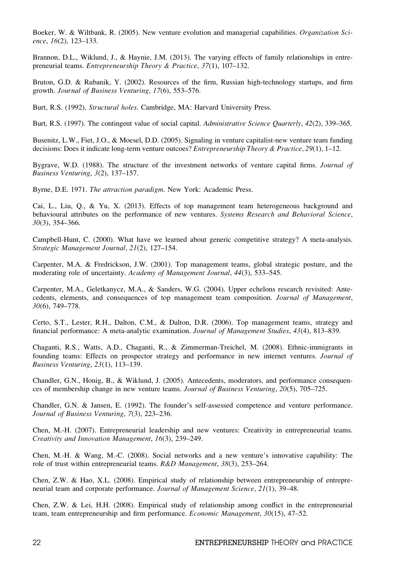Boeker, W. & Wiltbank, R. (2005). New venture evolution and managerial capabilities. Organization Science, 16(2), 123–133.

Brannon, D.L., Wiklund, J., & Haynie, J.M. (2013). The varying effects of family relationships in entrepreneurial teams. Entrepreneurship Theory & Practice, 37(1), 107–132.

Bruton, G.D. & Rubanik, Y. (2002). Resources of the firm, Russian high-technology startups, and firm growth. Journal of Business Venturing, 17(6), 553–576.

Burt, R.S. (1992). Structural holes. Cambridge, MA: Harvard University Press.

Burt, R.S. (1997). The contingent value of social capital. Administrative Science Quarterly, 42(2), 339–365.

Busenitz, L.W., Fiet, J.O., & Moesel, D.D. (2005). Signaling in venture capitalist-new venture team funding decisions: Does it indicate long-term venture outcoes? *Entrepreneurship Theory & Practice*, 29(1), 1–12.

Bygrave, W.D. (1988). The structure of the investment networks of venture capital firms. Journal of Business Venturing, 3(2), 137–157.

Byrne, D.E. 1971. The attraction paradigm. New York: Academic Press.

Cai, L., Liu, Q., & Yu, X. (2013). Effects of top management team heterogeneous background and behavioural attributes on the performance of new ventures. Systems Research and Behavioral Science, 30(3), 354–366.

Campbell-Hunt, C. (2000). What have we learned about generic competitive strategy? A meta-analysis. Strategic Management Journal, 21(2), 127–154.

Carpenter, M.A. & Fredrickson, J.W. (2001). Top management teams, global strategic posture, and the moderating role of uncertainty. Academy of Management Journal, 44(3), 533–545.

Carpenter, M.A., Geletkanycz, M.A., & Sanders, W.G. (2004). Upper echelons research revisited: Antecedents, elements, and consequences of top management team composition. Journal of Management, 30(6), 749–778.

Certo, S.T., Lester, R.H., Dalton, C.M., & Dalton, D.R. (2006). Top management teams, strategy and financial performance: A meta-analytic examination. Journal of Management Studies, 43(4), 813–839.

Chaganti, R.S., Watts, A.D., Chaganti, R., & Zimmerman-Treichel, M. (2008). Ethnic-immigrants in founding teams: Effects on prospector strategy and performance in new internet ventures. Journal of Business Venturing, 23(1), 113–139.

Chandler, G.N., Honig, B., & Wiklund, J. (2005). Antecedents, moderators, and performance consequences of membership change in new venture teams. Journal of Business Venturing, 20(5), 705–725.

Chandler, G.N. & Jansen, E. (1992). The founder's self-assessed competence and venture performance. Journal of Business Venturing, 7(3), 223–236.

Chen, M.-H. (2007). Entrepreneurial leadership and new ventures: Creativity in entrepreneurial teams. Creativity and Innovation Management, 16(3), 239–249.

Chen, M.-H. & Wang, M.-C. (2008). Social networks and a new venture's innovative capability: The role of trust within entrepreneurial teams.  $R&D$  Management, 38(3), 253–264.

Chen, Z.W. & Hao, X.L. (2008). Empirical study of relationship between entrepreneurship of entrepreneurial team and corporate performance. Journal of Management Science, 21(1), 39–48.

Chen, Z.W. & Lei, H.H. (2008). Empirical study of relationship among conflict in the entrepreneurial team, team entrepreneurship and firm performance. Economic Management, 30(15), 47–52.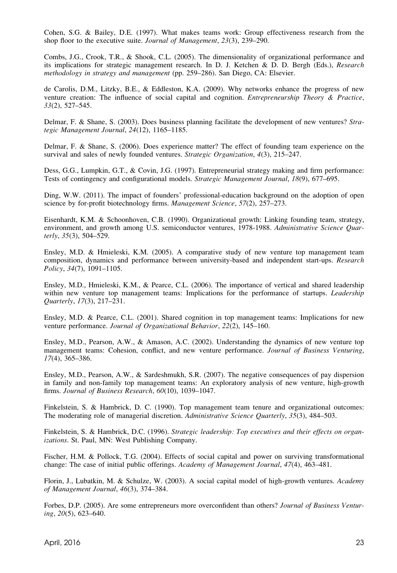Cohen, S.G. & Bailey, D.E. (1997). What makes teams work: Group effectiveness research from the shop floor to the executive suite. Journal of Management, 23(3), 239–290.

Combs, J.G., Crook, T.R., & Shook, C.L. (2005). The dimensionality of organizational performance and its implications for strategic management research. In D. J. Ketchen & D. D. Bergh (Eds.), Research methodology in strategy and management (pp. 259–286). San Diego, CA: Elsevier.

de Carolis, D.M., Litzky, B.E., & Eddleston, K.A. (2009). Why networks enhance the progress of new venture creation: The influence of social capital and cognition. Entrepreneurship Theory & Practice, 33(2), 527–545.

Delmar, F. & Shane, S. (2003). Does business planning facilitate the development of new ventures? Strategic Management Journal, 24(12), 1165–1185.

Delmar, F. & Shane, S. (2006). Does experience matter? The effect of founding team experience on the survival and sales of newly founded ventures. Strategic Organization, 4(3), 215–247.

Dess, G.G., Lumpkin, G.T., & Covin, J.G. (1997). Entrepreneurial strategy making and firm performance: Tests of contingency and configurational models. Strategic Management Journal, 18(9), 677–695.

Ding, W.W. (2011). The impact of founders' professional-education background on the adoption of open science by for-profit biotechnology firms. Management Science, 57(2), 257–273.

Eisenhardt, K.M. & Schoonhoven, C.B. (1990). Organizational growth: Linking founding team, strategy, environment, and growth among U.S. semiconductor ventures, 1978-1988. Administrative Science Quarterly, 35(3), 504–529.

Ensley, M.D. & Hmieleski, K.M. (2005). A comparative study of new venture top management team composition, dynamics and performance between university-based and independent start-ups. Research Policy, 34(7), 1091–1105.

Ensley, M.D., Hmieleski, K.M., & Pearce, C.L. (2006). The importance of vertical and shared leadership within new venture top management teams: Implications for the performance of startups. Leadership Quarterly, 17(3), 217–231.

Ensley, M.D. & Pearce, C.L. (2001). Shared cognition in top management teams: Implications for new venture performance. Journal of Organizational Behavior, 22(2), 145–160.

Ensley, M.D., Pearson, A.W., & Amason, A.C. (2002). Understanding the dynamics of new venture top management teams: Cohesion, conflict, and new venture performance. Journal of Business Venturing, 17(4), 365–386.

Ensley, M.D., Pearson, A.W., & Sardeshmukh, S.R. (2007). The negative consequences of pay dispersion in family and non-family top management teams: An exploratory analysis of new venture, high-growth firms. Journal of Business Research, 60(10), 1039-1047.

Finkelstein, S. & Hambrick, D. C. (1990). Top management team tenure and organizational outcomes: The moderating role of managerial discretion. Administrative Science Quarterly, 35(3), 484–503.

Finkelstein, S. & Hambrick, D.C. (1996). Strategic leadership: Top executives and their effects on organizations. St. Paul, MN: West Publishing Company.

Fischer, H.M. & Pollock, T.G. (2004). Effects of social capital and power on surviving transformational change: The case of initial public offerings. Academy of Management Journal, 47(4), 463–481.

Florin, J., Lubatkin, M. & Schulze, W. (2003). A social capital model of high-growth ventures. Academy of Management Journal, 46(3), 374–384.

Forbes, D.P. (2005). Are some entrepreneurs more overconfident than others? Journal of Business Venturing, 20(5), 623–640.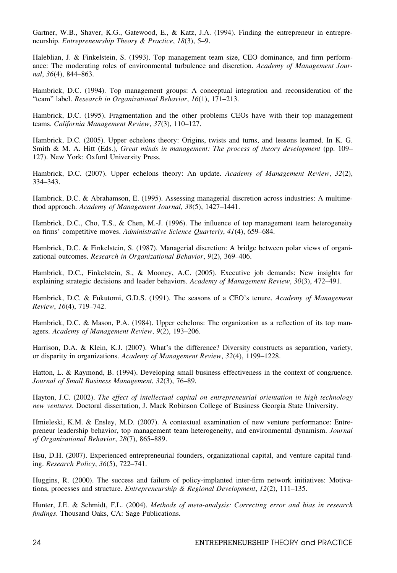Gartner, W.B., Shaver, K.G., Gatewood, E., & Katz, J.A. (1994). Finding the entrepreneur in entrepreneurship. Entrepreneurship Theory & Practice, 18(3), 5–9.

Haleblian, J. & Finkelstein, S. (1993). Top management team size, CEO dominance, and firm performance: The moderating roles of environmental turbulence and discretion. Academy of Management Journal, 36(4), 844–863.

Hambrick, D.C. (1994). Top management groups: A conceptual integration and reconsideration of the "team" label. Research in Organizational Behavior, 16(1), 171–213.

Hambrick, D.C. (1995). Fragmentation and the other problems CEOs have with their top management teams. California Management Review, 37(3), 110–127.

Hambrick, D.C. (2005). Upper echelons theory: Origins, twists and turns, and lessons learned. In K. G. Smith & M. A. Hitt (Eds.), Great minds in management: The process of theory development (pp. 109– 127). New York: Oxford University Press.

Hambrick, D.C. (2007). Upper echelons theory: An update. Academy of Management Review, 32(2), 334–343.

Hambrick, D.C. & Abrahamson, E. (1995). Assessing managerial discretion across industries: A multimethod approach. Academy of Management Journal, 38(5), 1427–1441.

Hambrick, D.C., Cho, T.S., & Chen, M.-J. (1996). The influence of top management team heterogeneity on firms' competitive moves. Administrative Science Quarterly, 41(4), 659–684.

Hambrick, D.C. & Finkelstein, S. (1987). Managerial discretion: A bridge between polar views of organizational outcomes. Research in Organizational Behavior, 9(2), 369–406.

Hambrick, D.C., Finkelstein, S., & Mooney, A.C. (2005). Executive job demands: New insights for explaining strategic decisions and leader behaviors. Academy of Management Review, 30(3), 472–491.

Hambrick, D.C. & Fukutomi, G.D.S. (1991). The seasons of a CEO's tenure. Academy of Management Review, 16(4), 719–742.

Hambrick, D.C. & Mason, P.A. (1984). Upper echelons: The organization as a reflection of its top managers. Academy of Management Review, 9(2), 193–206.

Harrison, D.A. & Klein, K.J. (2007). What's the difference? Diversity constructs as separation, variety, or disparity in organizations. Academy of Management Review, 32(4), 1199–1228.

Hatton, L. & Raymond, B. (1994). Developing small business effectiveness in the context of congruence. Journal of Small Business Management, 32(3), 76–89.

Hayton, J.C. (2002). The effect of intellectual capital on entrepreneurial orientation in high technology new ventures. Doctoral dissertation, J. Mack Robinson College of Business Georgia State University.

Hmieleski, K.M. & Ensley, M.D. (2007). A contextual examination of new venture performance: Entrepreneur leadership behavior, top management team heterogeneity, and environmental dynamism. Journal of Organizational Behavior, 28(7), 865–889.

Hsu, D.H. (2007). Experienced entrepreneurial founders, organizational capital, and venture capital funding. Research Policy, 36(5), 722–741.

Huggins, R. (2000). The success and failure of policy-implanted inter-firm network initiatives: Motivations, processes and structure. Entrepreneurship & Regional Development, 12(2), 111–135.

Hunter, J.E. & Schmidt, F.L. (2004). Methods of meta-analysis: Correcting error and bias in research findings. Thousand Oaks, CA: Sage Publications.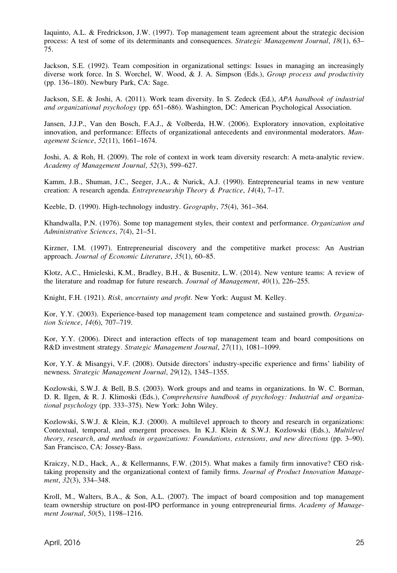Iaquinto, A.L. & Fredrickson, J.W. (1997). Top management team agreement about the strategic decision process: A test of some of its determinants and consequences. Strategic Management Journal, 18(1), 63– 75.

Jackson, S.E. (1992). Team composition in organizational settings: Issues in managing an increasingly diverse work force. In S. Worchel, W. Wood, & J. A. Simpson (Eds.), Group process and productivity (pp. 136–180). Newbury Park, CA: Sage.

Jackson, S.E. & Joshi, A. (2011). Work team diversity. In S. Zedeck (Ed.), APA handbook of industrial and organizational psychology (pp. 651–686). Washington, DC: American Psychological Association.

Jansen, J.J.P., Van den Bosch, F.A.J., & Volberda, H.W. (2006). Exploratory innovation, exploitative innovation, and performance: Effects of organizational antecedents and environmental moderators. Management Science, 52(11), 1661–1674.

Joshi, A. & Roh, H. (2009). The role of context in work team diversity research: A meta-analytic review. Academy of Management Journal, 52(3), 599–627.

Kamm, J.B., Shuman, J.C., Seeger, J.A., & Nurick, A.J. (1990). Entrepreneurial teams in new venture creation: A research agenda. Entrepreneurship Theory & Practice, 14(4), 7–17.

Keeble, D. (1990). High-technology industry. Geography, 75(4), 361–364.

Khandwalla, P.N. (1976). Some top management styles, their context and performance. Organization and Administrative Sciences, 7(4), 21–51.

Kirzner, I.M. (1997). Entrepreneurial discovery and the competitive market process: An Austrian approach. Journal of Economic Literature, 35(1), 60–85.

Klotz, A.C., Hmieleski, K.M., Bradley, B.H., & Busenitz, L.W. (2014). New venture teams: A review of the literature and roadmap for future research. Journal of Management, 40(1), 226–255.

Knight, F.H. (1921). Risk, uncertainty and profit. New York: August M. Kelley.

Kor, Y.Y. (2003). Experience-based top management team competence and sustained growth. Organization Science, 14(6), 707–719.

Kor, Y.Y. (2006). Direct and interaction effects of top management team and board compositions on R&D investment strategy. Strategic Management Journal, 27(11), 1081–1099.

Kor, Y.Y. & Misangyi, V.F. (2008). Outside directors' industry-specific experience and firms' liability of newness. Strategic Management Journal, 29(12), 1345–1355.

Kozlowski, S.W.J. & Bell, B.S. (2003). Work groups and and teams in organizations. In W. C. Borman, D. R. Ilgen, & R. J. Klimoski (Eds.), Comprehensive handbook of psychology: Industrial and organizational psychology (pp. 333–375). New York: John Wiley.

Kozlowski, S.W.J. & Klein, K.J. (2000). A multilevel approach to theory and research in organizations: Contextual, temporal, and emergent processes. In K.J. Klein & S.W.J. Kozlowski (Eds.), Multilevel theory, research, and methods in organizations: Foundations, extensions, and new directions (pp. 3–90). San Francisco, CA: Jossey-Bass.

Kraiczy, N.D., Hack, A., & Kellermanns, F.W. (2015). What makes a family firm innovative? CEO risktaking propensity and the organizational context of family firms. Journal of Product Innovation Management, 32(3), 334–348.

Kroll, M., Walters, B.A., & Son, A.L. (2007). The impact of board composition and top management team ownership structure on post-IPO performance in young entrepreneurial firms. Academy of Management Journal, 50(5), 1198–1216.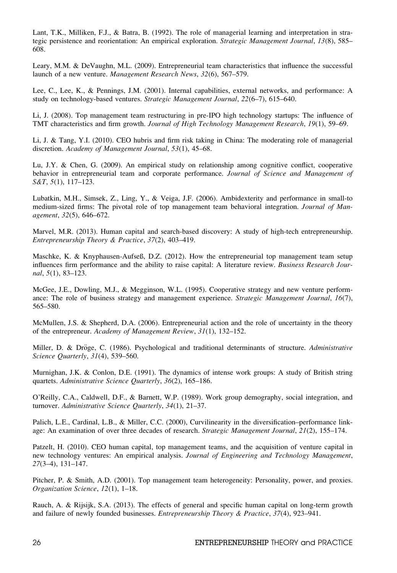Lant, T.K., Milliken, F.J., & Batra, B. (1992). The role of managerial learning and interpretation in strategic persistence and reorientation: An empirical exploration. Strategic Management Journal, 13(8), 585– 608.

Leary, M.M. & DeVaughn, M.L. (2009). Entrepreneurial team characteristics that influence the successful launch of a new venture. Management Research News, 32(6), 567–579.

Lee, C., Lee, K., & Pennings, J.M. (2001). Internal capabilities, external networks, and performance: A study on technology-based ventures. Strategic Management Journal, 22(6–7), 615–640.

Li, J. (2008). Top management team restructuring in pre-IPO high technology startups: The influence of TMT characteristics and firm growth. Journal of High Technology Management Research, 19(1), 59–69.

Li, J. & Tang, Y.I. (2010). CEO hubris and firm risk taking in China: The moderating role of managerial discretion. Academy of Management Journal, 53(1), 45–68.

Lu, J.Y. & Chen, G. (2009). An empirical study on relationship among cognitive conflict, cooperative behavior in entrepreneurial team and corporate performance. Journal of Science and Management of S&T, 5(1), 117–123.

Lubatkin, M.H., Simsek, Z., Ling, Y., & Veiga, J.F. (2006). Ambidexterity and performance in small-to medium-sized firms: The pivotal role of top management team behavioral integration. Journal of Management, 32(5), 646–672.

Marvel, M.R. (2013). Human capital and search-based discovery: A study of high-tech entrepreneurship. Entrepreneurship Theory & Practice, 37(2), 403–419.

Maschke, K. & Knyphausen-Aufseß, D.Z. (2012). How the entrepreneurial top management team setup influences firm performance and the ability to raise capital: A literature review. Business Research Journal, 5(1), 83–123.

McGee, J.E., Dowling, M.J., & Megginson, W.L. (1995). Cooperative strategy and new venture performance: The role of business strategy and management experience. Strategic Management Journal, 16(7), 565–580.

McMullen, J.S. & Shepherd, D.A. (2006). Entrepreneurial action and the role of uncertainty in the theory of the entrepreneur. Academy of Management Review, 31(1), 132–152.

Miller, D. & Dröge, C. (1986). Psychological and traditional determinants of structure. Administrative Science Quarterly, 31(4), 539–560.

Murnighan, J.K. & Conlon, D.E. (1991). The dynamics of intense work groups: A study of British string quartets. Administrative Science Quarterly, 36(2), 165–186.

O'Reilly, C.A., Caldwell, D.F., & Barnett, W.P. (1989). Work group demography, social integration, and turnover. Administrative Science Quarterly, 34(1), 21–37.

Palich, L.E., Cardinal, L.B., & Miller, C.C. (2000), Curvilinearity in the diversification–performance linkage: An examination of over three decades of research. Strategic Management Journal, 21(2), 155–174.

Patzelt, H. (2010). CEO human capital, top management teams, and the acquisition of venture capital in new technology ventures: An empirical analysis. Journal of Engineering and Technology Management, 27(3–4), 131–147.

Pitcher, P. & Smith, A.D. (2001). Top management team heterogeneity: Personality, power, and proxies. Organization Science, 12(1), 1–18.

Rauch, A. & Rijsijk, S.A. (2013). The effects of general and specific human capital on long-term growth and failure of newly founded businesses. Entrepreneurship Theory & Practice, 37(4), 923–941.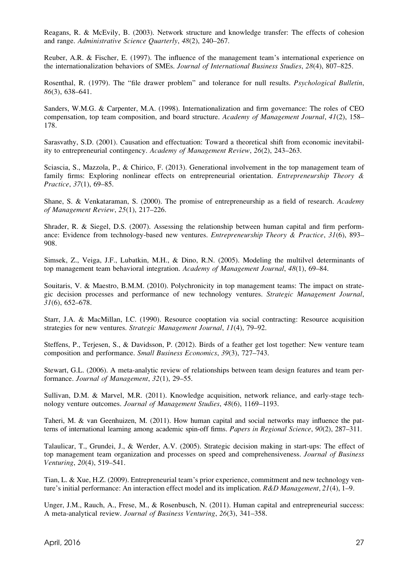Reagans, R. & McEvily, B. (2003). Network structure and knowledge transfer: The effects of cohesion and range. Administrative Science Quarterly, 48(2), 240–267.

Reuber, A.R. & Fischer, E. (1997). The influence of the management team's international experience on the internationalization behaviors of SMEs. Journal of International Business Studies, 28(4), 807–825.

Rosenthal, R. (1979). The "file drawer problem" and tolerance for null results. Psychological Bulletin, 86(3), 638–641.

Sanders, W.M.G. & Carpenter, M.A. (1998). Internationalization and firm governance: The roles of CEO compensation, top team composition, and board structure. Academy of Management Journal, 41(2), 158– 178.

Sarasvathy, S.D. (2001). Causation and effectuation: Toward a theoretical shift from economic inevitability to entrepreneurial contingency. Academy of Management Review, 26(2), 243–263.

Sciascia, S., Mazzola, P., & Chirico, F. (2013). Generational involvement in the top management team of family firms: Exploring nonlinear effects on entrepreneurial orientation. *Entrepreneurship Theory &* Practice, 37(1), 69–85.

Shane, S. & Venkataraman, S. (2000). The promise of entrepreneurship as a field of research. Academy of Management Review, 25(1), 217–226.

Shrader, R. & Siegel, D.S. (2007). Assessing the relationship between human capital and firm performance: Evidence from technology-based new ventures. *Entrepreneurship Theory & Practice*, 31(6), 893– 908.

Simsek, Z., Veiga, J.F., Lubatkin, M.H., & Dino, R.N. (2005). Modeling the multilvel determinants of top management team behavioral integration. Academy of Management Journal, 48(1), 69–84.

Souitaris, V. & Maestro, B.M.M. (2010). Polychronicity in top management teams: The impact on strategic decision processes and performance of new technology ventures. Strategic Management Journal, 31(6), 652–678.

Starr, J.A. & MacMillan, I.C. (1990). Resource cooptation via social contracting: Resource acquisition strategies for new ventures. Strategic Management Journal, 11(4), 79–92.

Steffens, P., Terjesen, S., & Davidsson, P. (2012). Birds of a feather get lost together: New venture team composition and performance. Small Business Economics, 39(3), 727–743.

Stewart, G.L. (2006). A meta-analytic review of relationships between team design features and team performance. Journal of Management, 32(1), 29–55.

Sullivan, D.M. & Marvel, M.R. (2011). Knowledge acquisition, network reliance, and early-stage technology venture outcomes. Journal of Management Studies, 48(6), 1169–1193.

Taheri, M. & van Geenhuizen, M. (2011). How human capital and social networks may influence the patterns of international learning among academic spin-off firms. Papers in Regional Science, 90(2), 287–311.

Talaulicar, T., Grundei, J., & Werder, A.V. (2005). Strategic decision making in start-ups: The effect of top management team organization and processes on speed and comprehensiveness. Journal of Business Venturing, 20(4), 519–541.

Tian, L. & Xue, H.Z. (2009). Entrepreneurial team's prior experience, commitment and new technology venture's initial performance: An interaction effect model and its implication. R&D Management, 21(4), 1–9.

Unger, J.M., Rauch, A., Frese, M., & Rosenbusch, N. (2011). Human capital and entrepreneurial success: A meta-analytical review. Journal of Business Venturing, 26(3), 341–358.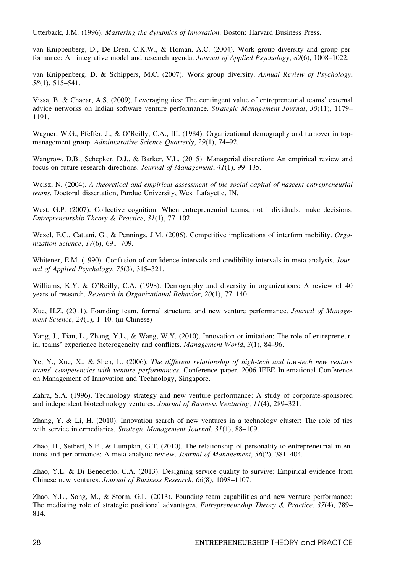Utterback, J.M. (1996). Mastering the dynamics of innovation. Boston: Harvard Business Press.

van Knippenberg, D., De Dreu, C.K.W., & Homan, A.C. (2004). Work group diversity and group performance: An integrative model and research agenda. Journal of Applied Psychology, 89(6), 1008–1022.

van Knippenberg, D. & Schippers, M.C. (2007). Work group diversity. Annual Review of Psychology, 58(1), 515–541.

Vissa, B. & Chacar, A.S. (2009). Leveraging ties: The contingent value of entrepreneurial teams' external advice networks on Indian software venture performance. Strategic Management Journal, 30(11), 1179– 1191.

Wagner, W.G., Pfeffer, J., & O'Reilly, C.A., III. (1984). Organizational demography and turnover in topmanagement group. Administrative Science Quarterly, 29(1), 74–92.

Wangrow, D.B., Schepker, D.J., & Barker, V.L. (2015). Managerial discretion: An empirical review and focus on future research directions. Journal of Management, 41(1), 99–135.

Weisz, N. (2004). A theoretical and empirical assessment of the social capital of nascent entrepreneurial teams. Doctoral dissertation, Purdue University, West Lafayette, IN.

West, G.P. (2007). Collective cognition: When entrepreneurial teams, not individuals, make decisions. Entrepreneurship Theory & Practice, 31(1), 77–102.

Wezel, F.C., Cattani, G., & Pennings, J.M. (2006). Competitive implications of interfirm mobility. Organization Science, 17(6), 691–709.

Whitener, E.M. (1990). Confusion of confidence intervals and credibility intervals in meta-analysis. Journal of Applied Psychology, 75(3), 315–321.

Williams, K.Y. & O'Reilly, C.A. (1998). Demography and diversity in organizations: A review of 40 years of research. Research in Organizational Behavior, 20(1), 77–140.

Xue, H.Z. (2011). Founding team, formal structure, and new venture performance. Journal of Management Science, 24(1), 1-10. (in Chinese)

Yang, J., Tian, L., Zhang, Y.L., & Wang, W.Y. (2010). Innovation or imitation: The role of entrepreneurial teams' experience heterogeneity and conflicts. Management World, 3(1), 84–96.

Ye, Y., Xue, X., & Shen, L. (2006). The different relationship of high-tech and low-tech new venture teams' competencies with venture performances. Conference paper. 2006 IEEE International Conference on Management of Innovation and Technology, Singapore.

Zahra, S.A. (1996). Technology strategy and new venture performance: A study of corporate-sponsored and independent biotechnology ventures. Journal of Business Venturing, 11(4), 289–321.

Zhang, Y. & Li, H. (2010). Innovation search of new ventures in a technology cluster: The role of ties with service intermediaries. Strategic Management Journal, 31(1), 88-109.

Zhao, H., Seibert, S.E., & Lumpkin, G.T. (2010). The relationship of personality to entrepreneurial intentions and performance: A meta-analytic review. Journal of Management, 36(2), 381–404.

Zhao, Y.L. & Di Benedetto, C.A. (2013). Designing service quality to survive: Empirical evidence from Chinese new ventures. Journal of Business Research, 66(8), 1098–1107.

Zhao, Y.L., Song, M., & Storm, G.L. (2013). Founding team capabilities and new venture performance: The mediating role of strategic positional advantages. *Entrepreneurship Theory & Practice*, 37(4), 789– 814.